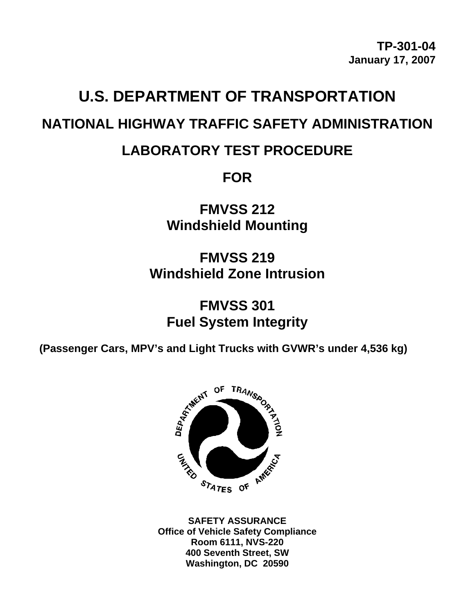# **U.S. DEPARTMENT OF TRANSPORTATION NATIONAL HIGHWAY TRAFFIC SAFETY ADMINISTRATION**

## **LABORATORY TEST PROCEDURE**

**FOR** 

**FMVSS 212 Windshield Mounting** 

**FMVSS 219 Windshield Zone Intrusion** 

## **FMVSS 301 Fuel System Integrity**

**(Passenger Cars, MPV's and Light Trucks with GVWR's under 4,536 kg)** 



**SAFETY ASSURANCE Office of Vehicle Safety Compliance Room 6111, NVS-220 400 Seventh Street, SW Washington, DC 20590**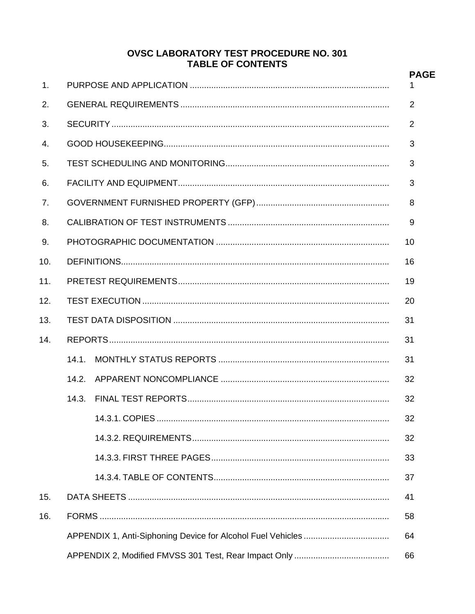#### **OVSC LABORATORY TEST PROCEDURE NO. 301 TABLE OF CONTENTS**

|                | TADLE UF GUNTENTS |  |  |  |
|----------------|-------------------|--|--|--|
| 1 <sub>1</sub> |                   |  |  |  |
| 2.             |                   |  |  |  |
| 3.             |                   |  |  |  |
| 4.             |                   |  |  |  |
| 5.             |                   |  |  |  |
| 6.             |                   |  |  |  |
| 7.             |                   |  |  |  |
| 8.             |                   |  |  |  |
| 9.             |                   |  |  |  |
| 10.            |                   |  |  |  |
| 11.            |                   |  |  |  |
| 12.            |                   |  |  |  |
| 13.            |                   |  |  |  |
| 14.            |                   |  |  |  |
|                | 14.1.             |  |  |  |
|                | 14.2.             |  |  |  |
|                | 14.3.             |  |  |  |
|                |                   |  |  |  |
|                |                   |  |  |  |
|                |                   |  |  |  |
|                |                   |  |  |  |
| 15.            |                   |  |  |  |
| 16.            |                   |  |  |  |
|                |                   |  |  |  |
|                |                   |  |  |  |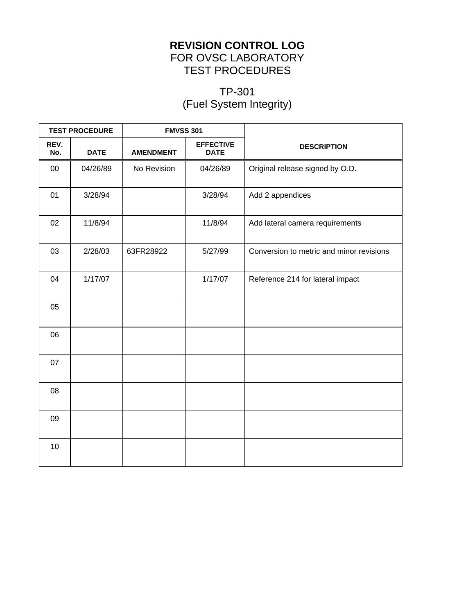#### **REVISION CONTROL LOG** FOR OVSC LABORATORY TEST PROCEDURES

### TP-301 (Fuel System Integrity)

| <b>TEST PROCEDURE</b> |             | <b>FMVSS 301</b> |                                 |                                          |
|-----------------------|-------------|------------------|---------------------------------|------------------------------------------|
| REV.<br>No.           | <b>DATE</b> | <b>AMENDMENT</b> | <b>EFFECTIVE</b><br><b>DATE</b> | <b>DESCRIPTION</b>                       |
| $00\,$                | 04/26/89    | No Revision      | 04/26/89                        | Original release signed by O.D.          |
| 01                    | 3/28/94     |                  | 3/28/94                         | Add 2 appendices                         |
| 02                    | 11/8/94     |                  | 11/8/94                         | Add lateral camera requirements          |
| 03                    | 2/28/03     | 63FR28922        | 5/27/99                         | Conversion to metric and minor revisions |
| 04                    | 1/17/07     |                  | 1/17/07                         | Reference 214 for lateral impact         |
| 05                    |             |                  |                                 |                                          |
| 06                    |             |                  |                                 |                                          |
| 07                    |             |                  |                                 |                                          |
| 08                    |             |                  |                                 |                                          |
| 09                    |             |                  |                                 |                                          |
| 10                    |             |                  |                                 |                                          |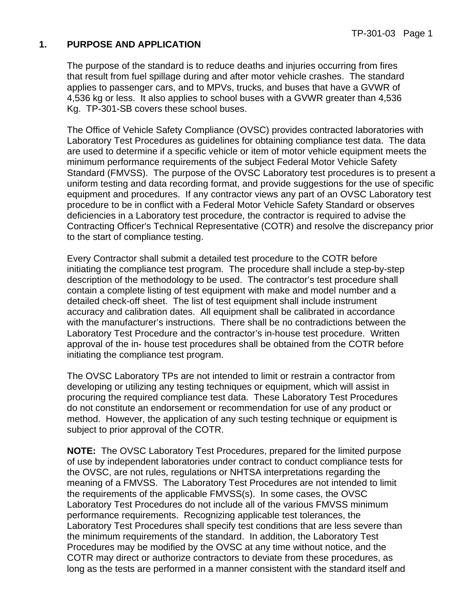#### **1. PURPOSE AND APPLICATION**

The purpose of the standard is to reduce deaths and injuries occurring from fires that result from fuel spillage during and after motor vehicle crashes. The standard applies to passenger cars, and to MPVs, trucks, and buses that have a GVWR of 4,536 kg or less. It also applies to school buses with a GVWR greater than 4,536 Kg. TP-301-SB covers these school buses.

The Office of Vehicle Safety Compliance (OVSC) provides contracted laboratories with Laboratory Test Procedures as guidelines for obtaining compliance test data. The data are used to determine if a specific vehicle or item of motor vehicle equipment meets the minimum performance requirements of the subject Federal Motor Vehicle Safety Standard (FMVSS). The purpose of the OVSC Laboratory test procedures is to present a uniform testing and data recording format, and provide suggestions for the use of specific equipment and procedures. If any contractor views any part of an OVSC Laboratory test procedure to be in conflict with a Federal Motor Vehicle Safety Standard or observes deficiencies in a Laboratory test procedure, the contractor is required to advise the Contracting Officer's Technical Representative (COTR) and resolve the discrepancy prior to the start of compliance testing.

Every Contractor shall submit a detailed test procedure to the COTR before initiating the compliance test program. The procedure shall include a step-by-step description of the methodology to be used. The contractor's test procedure shall contain a complete listing of test equipment with make and model number and a detailed check-off sheet. The list of test equipment shall include instrument accuracy and calibration dates. All equipment shall be calibrated in accordance with the manufacturer's instructions. There shall be no contradictions between the Laboratory Test Procedure and the contractor's in-house test procedure. Written approval of the in- house test procedures shall be obtained from the COTR before initiating the compliance test program.

The OVSC Laboratory TPs are not intended to limit or restrain a contractor from developing or utilizing any testing techniques or equipment, which will assist in procuring the required compliance test data. These Laboratory Test Procedures do not constitute an endorsement or recommendation for use of any product or method. However, the application of any such testing technique or equipment is subject to prior approval of the COTR.

**NOTE:** The OVSC Laboratory Test Procedures, prepared for the limited purpose of use by independent laboratories under contract to conduct compliance tests for the OVSC, are not rules, regulations or NHTSA interpretations regarding the meaning of a FMVSS. The Laboratory Test Procedures are not intended to limit the requirements of the applicable FMVSS(s). In some cases, the OVSC Laboratory Test Procedures do not include all of the various FMVSS minimum performance requirements. Recognizing applicable test tolerances, the Laboratory Test Procedures shall specify test conditions that are less severe than the minimum requirements of the standard. In addition, the Laboratory Test Procedures may be modified by the OVSC at any time without notice, and the COTR may direct or authorize contractors to deviate from these procedures, as long as the tests are performed in a manner consistent with the standard itself and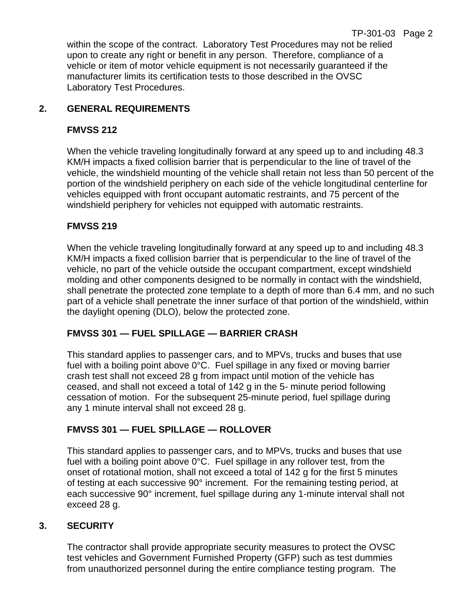within the scope of the contract. Laboratory Test Procedures may not be relied upon to create any right or benefit in any person. Therefore, compliance of a vehicle or item of motor vehicle equipment is not necessarily guaranteed if the manufacturer limits its certification tests to those described in the OVSC Laboratory Test Procedures.

#### **2. GENERAL REQUIREMENTS**

#### **FMVSS 212**

When the vehicle traveling longitudinally forward at any speed up to and including 48.3 KM/H impacts a fixed collision barrier that is perpendicular to the line of travel of the vehicle, the windshield mounting of the vehicle shall retain not less than 50 percent of the portion of the windshield periphery on each side of the vehicle longitudinal centerline for vehicles equipped with front occupant automatic restraints, and 75 percent of the windshield periphery for vehicles not equipped with automatic restraints.

#### **FMVSS 219**

When the vehicle traveling longitudinally forward at any speed up to and including 48.3 KM/H impacts a fixed collision barrier that is perpendicular to the line of travel of the vehicle, no part of the vehicle outside the occupant compartment, except windshield molding and other components designed to be normally in contact with the windshield, shall penetrate the protected zone template to a depth of more than 6.4 mm, and no such part of a vehicle shall penetrate the inner surface of that portion of the windshield, within the daylight opening (DLO), below the protected zone.

#### **FMVSS 301 — FUEL SPILLAGE — BARRIER CRASH**

This standard applies to passenger cars, and to MPVs, trucks and buses that use fuel with a boiling point above 0°C. Fuel spillage in any fixed or moving barrier crash test shall not exceed 28 g from impact until motion of the vehicle has ceased, and shall not exceed a total of 142 g in the 5- minute period following cessation of motion. For the subsequent 25-minute period, fuel spillage during any 1 minute interval shall not exceed 28 g.

#### **FMVSS 301 — FUEL SPILLAGE — ROLLOVER**

This standard applies to passenger cars, and to MPVs, trucks and buses that use fuel with a boiling point above 0°C. Fuel spillage in any rollover test, from the onset of rotational motion, shall not exceed a total of 142 g for the first 5 minutes of testing at each successive 90° increment. For the remaining testing period, at each successive 90° increment, fuel spillage during any 1-minute interval shall not exceed 28 g.

#### **3. SECURITY**

The contractor shall provide appropriate security measures to protect the OVSC test vehicles and Government Furnished Property (GFP) such as test dummies from unauthorized personnel during the entire compliance testing program. The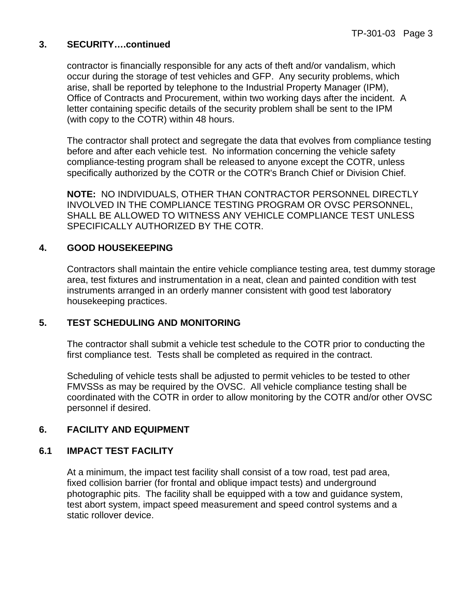#### **3. SECURITY….continued**

contractor is financially responsible for any acts of theft and/or vandalism, which occur during the storage of test vehicles and GFP. Any security problems, which arise, shall be reported by telephone to the Industrial Property Manager (IPM), Office of Contracts and Procurement, within two working days after the incident. A letter containing specific details of the security problem shall be sent to the IPM (with copy to the COTR) within 48 hours.

The contractor shall protect and segregate the data that evolves from compliance testing before and after each vehicle test. No information concerning the vehicle safety compliance-testing program shall be released to anyone except the COTR, unless specifically authorized by the COTR or the COTR's Branch Chief or Division Chief.

**NOTE:** NO INDIVIDUALS, OTHER THAN CONTRACTOR PERSONNEL DIRECTLY INVOLVED IN THE COMPLIANCE TESTING PROGRAM OR OVSC PERSONNEL, SHALL BE ALLOWED TO WITNESS ANY VEHICLE COMPLIANCE TEST UNLESS SPECIFICALLY AUTHORIZED BY THE COTR.

#### **4. GOOD HOUSEKEEPING**

Contractors shall maintain the entire vehicle compliance testing area, test dummy storage area, test fixtures and instrumentation in a neat, clean and painted condition with test instruments arranged in an orderly manner consistent with good test laboratory housekeeping practices.

#### **5. TEST SCHEDULING AND MONITORING**

The contractor shall submit a vehicle test schedule to the COTR prior to conducting the first compliance test. Tests shall be completed as required in the contract.

Scheduling of vehicle tests shall be adjusted to permit vehicles to be tested to other FMVSSs as may be required by the OVSC. All vehicle compliance testing shall be coordinated with the COTR in order to allow monitoring by the COTR and/or other OVSC personnel if desired.

#### **6. FACILITY AND EQUIPMENT**

#### **6.1 IMPACT TEST FACILITY**

At a minimum, the impact test facility shall consist of a tow road, test pad area, fixed collision barrier (for frontal and oblique impact tests) and underground photographic pits. The facility shall be equipped with a tow and guidance system, test abort system, impact speed measurement and speed control systems and a static rollover device.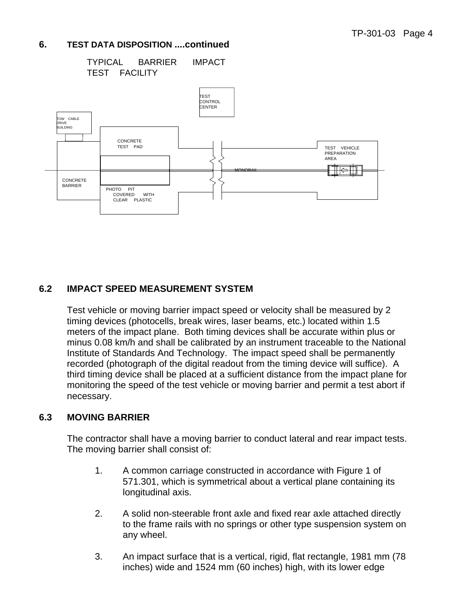TYPICAL BARRIER IMPACT TEST FACILITY



#### **6.2 IMPACT SPEED MEASUREMENT SYSTEM**

Test vehicle or moving barrier impact speed or velocity shall be measured by 2 timing devices (photocells, break wires, laser beams, etc.) located within 1.5 meters of the impact plane. Both timing devices shall be accurate within plus or minus 0.08 km/h and shall be calibrated by an instrument traceable to the National Institute of Standards And Technology. The impact speed shall be permanently recorded (photograph of the digital readout from the timing device will suffice). A third timing device shall be placed at a sufficient distance from the impact plane for monitoring the speed of the test vehicle or moving barrier and permit a test abort if necessary.

#### **6.3 MOVING BARRIER**

The contractor shall have a moving barrier to conduct lateral and rear impact tests. The moving barrier shall consist of:

- 1. A common carriage constructed in accordance with Figure 1 of 571.301, which is symmetrical about a vertical plane containing its longitudinal axis.
- 2. A solid non-steerable front axle and fixed rear axle attached directly to the frame rails with no springs or other type suspension system on any wheel.
- 3. An impact surface that is a vertical, rigid, flat rectangle, 1981 mm (78 inches) wide and 1524 mm (60 inches) high, with its lower edge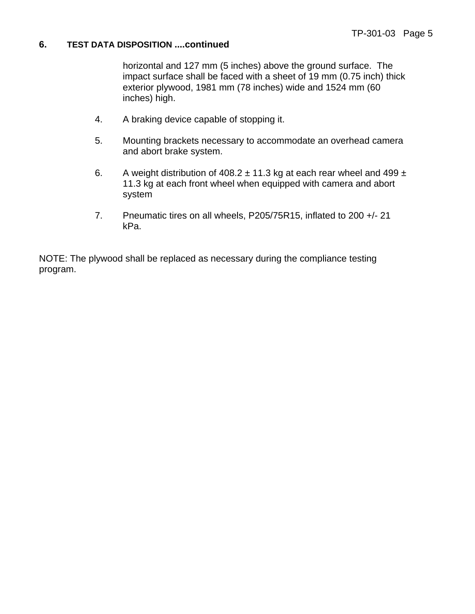horizontal and 127 mm (5 inches) above the ground surface. The impact surface shall be faced with a sheet of 19 mm (0.75 inch) thick exterior plywood, 1981 mm (78 inches) wide and 1524 mm (60 inches) high.

- 4. A braking device capable of stopping it.
- 5. Mounting brackets necessary to accommodate an overhead camera and abort brake system.
- 6. A weight distribution of  $408.2 \pm 11.3$  kg at each rear wheel and  $499 \pm 1.3$ 11.3 kg at each front wheel when equipped with camera and abort system
- 7. Pneumatic tires on all wheels, P205/75R15, inflated to 200 +/- 21 kPa.

NOTE: The plywood shall be replaced as necessary during the compliance testing program.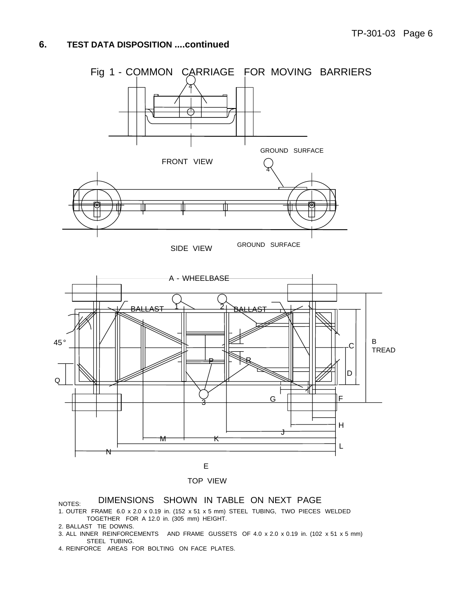

TOP VIEW

#### NOTES: DIMENSIONS SHOWN IN TABLE ON NEXT PAGE

- 1. OUTER FRAME 6.0 x 2.0 x 0.19 in. (152 x 51 x 5 mm) STEEL TUBING, TWO PIECES WELDED TOGETHER FOR A 12.0 in. (305 mm) HEIGHT.
- 2. BALLAST TIE DOWNS.
- 3. ALL INNER REINFORCEMENTS AND FRAME GUSSETS OF 4.0 x 2.0 x 0.19 in. (102 x 51 x 5 mm) STEEL TUBING.
- 4. REINFORCE AREAS FOR BOLTING ON FACE PLATES.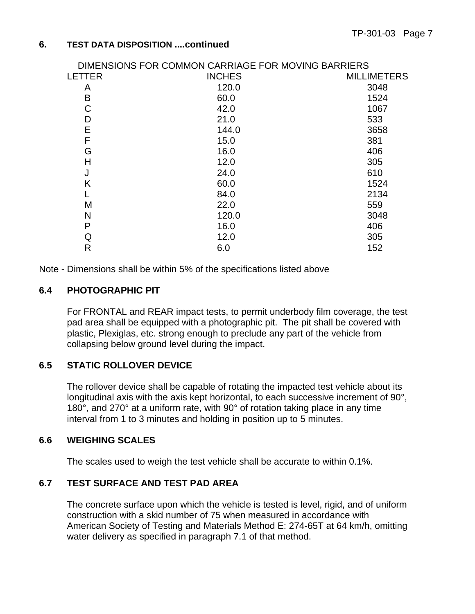|               | DIMENSIONS FOR COMMON CARRIAGE FOR MOVING BARRIERS |                    |
|---------------|----------------------------------------------------|--------------------|
| <b>LETTER</b> | <b>INCHES</b>                                      | <b>MILLIMETERS</b> |
| A             | 120.0                                              | 3048               |
| B             | 60.0                                               | 1524               |
| С             | 42.0                                               | 1067               |
| D             | 21.0                                               | 533                |
| E             | 144.0                                              | 3658               |
| F             | 15.0                                               | 381                |
| G             | 16.0                                               | 406                |
| Н             | 12.0                                               | 305                |
| J             | 24.0                                               | 610                |
| Κ             | 60.0                                               | 1524               |
|               | 84.0                                               | 2134               |
| M             | 22.0                                               | 559                |
| N             | 120.0                                              | 3048               |
| P             | 16.0                                               | 406                |
| Q             | 12.0                                               | 305                |
| R             | 6.0                                                | 152                |
|               |                                                    |                    |

Note - Dimensions shall be within 5% of the specifications listed above

#### **6.4 PHOTOGRAPHIC PIT**

For FRONTAL and REAR impact tests, to permit underbody film coverage, the test pad area shall be equipped with a photographic pit. The pit shall be covered with plastic, Plexiglas, etc. strong enough to preclude any part of the vehicle from collapsing below ground level during the impact.

#### **6.5 STATIC ROLLOVER DEVICE**

The rollover device shall be capable of rotating the impacted test vehicle about its longitudinal axis with the axis kept horizontal, to each successive increment of 90°, 180°, and 270° at a uniform rate, with 90° of rotation taking place in any time interval from 1 to 3 minutes and holding in position up to 5 minutes.

#### **6.6 WEIGHING SCALES**

The scales used to weigh the test vehicle shall be accurate to within 0.1%.

#### **6.7 TEST SURFACE AND TEST PAD AREA**

The concrete surface upon which the vehicle is tested is level, rigid, and of uniform construction with a skid number of 75 when measured in accordance with American Society of Testing and Materials Method E: 274-65T at 64 km/h, omitting water delivery as specified in paragraph 7.1 of that method.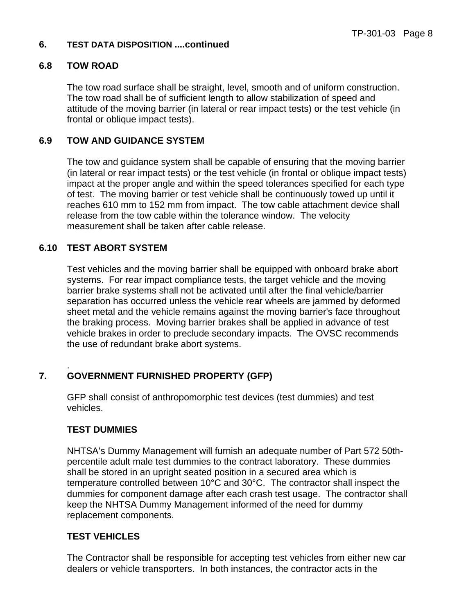#### **6.8 TOW ROAD**

The tow road surface shall be straight, level, smooth and of uniform construction. The tow road shall be of sufficient length to allow stabilization of speed and attitude of the moving barrier (in lateral or rear impact tests) or the test vehicle (in frontal or oblique impact tests).

#### **6.9 TOW AND GUIDANCE SYSTEM**

The tow and guidance system shall be capable of ensuring that the moving barrier (in lateral or rear impact tests) or the test vehicle (in frontal or oblique impact tests) impact at the proper angle and within the speed tolerances specified for each type of test. The moving barrier or test vehicle shall be continuously towed up until it reaches 610 mm to 152 mm from impact. The tow cable attachment device shall release from the tow cable within the tolerance window. The velocity measurement shall be taken after cable release.

#### **6.10 TEST ABORT SYSTEM**

Test vehicles and the moving barrier shall be equipped with onboard brake abort systems. For rear impact compliance tests, the target vehicle and the moving barrier brake systems shall not be activated until after the final vehicle/barrier separation has occurred unless the vehicle rear wheels are jammed by deformed sheet metal and the vehicle remains against the moving barrier's face throughout the braking process. Moving barrier brakes shall be applied in advance of test vehicle brakes in order to preclude secondary impacts. The OVSC recommends the use of redundant brake abort systems.

#### . **7. GOVERNMENT FURNISHED PROPERTY (GFP)**

GFP shall consist of anthropomorphic test devices (test dummies) and test vehicles.

#### **TEST DUMMIES**

NHTSA's Dummy Management will furnish an adequate number of Part 572 50thpercentile adult male test dummies to the contract laboratory. These dummies shall be stored in an upright seated position in a secured area which is temperature controlled between 10°C and 30°C. The contractor shall inspect the dummies for component damage after each crash test usage. The contractor shall keep the NHTSA Dummy Management informed of the need for dummy replacement components.

#### **TEST VEHICLES**

The Contractor shall be responsible for accepting test vehicles from either new car dealers or vehicle transporters. In both instances, the contractor acts in the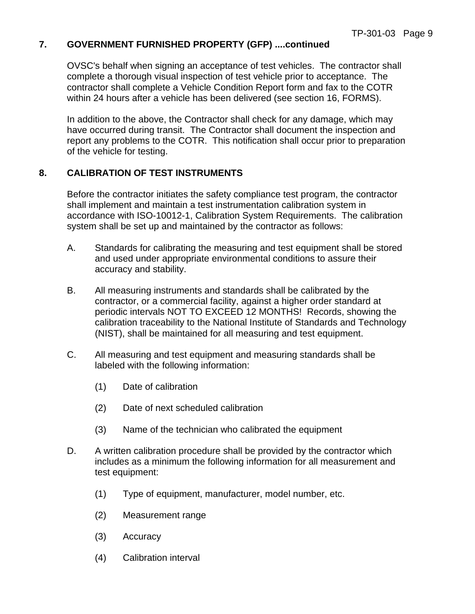#### **7. GOVERNMENT FURNISHED PROPERTY (GFP) ....continued**

OVSC's behalf when signing an acceptance of test vehicles. The contractor shall complete a thorough visual inspection of test vehicle prior to acceptance. The contractor shall complete a Vehicle Condition Report form and fax to the COTR within 24 hours after a vehicle has been delivered (see section 16, FORMS).

In addition to the above, the Contractor shall check for any damage, which may have occurred during transit. The Contractor shall document the inspection and report any problems to the COTR. This notification shall occur prior to preparation of the vehicle for testing.

#### **8. CALIBRATION OF TEST INSTRUMENTS**

Before the contractor initiates the safety compliance test program, the contractor shall implement and maintain a test instrumentation calibration system in accordance with ISO-10012-1, Calibration System Requirements. The calibration system shall be set up and maintained by the contractor as follows:

- A. Standards for calibrating the measuring and test equipment shall be stored and used under appropriate environmental conditions to assure their accuracy and stability.
- B. All measuring instruments and standards shall be calibrated by the contractor, or a commercial facility, against a higher order standard at periodic intervals NOT TO EXCEED 12 MONTHS! Records, showing the calibration traceability to the National Institute of Standards and Technology (NIST), shall be maintained for all measuring and test equipment.
- C. All measuring and test equipment and measuring standards shall be labeled with the following information:
	- (1) Date of calibration
	- (2) Date of next scheduled calibration
	- (3) Name of the technician who calibrated the equipment
- D. A written calibration procedure shall be provided by the contractor which includes as a minimum the following information for all measurement and test equipment:
	- (1) Type of equipment, manufacturer, model number, etc.
	- (2) Measurement range
	- (3) Accuracy
	- (4) Calibration interval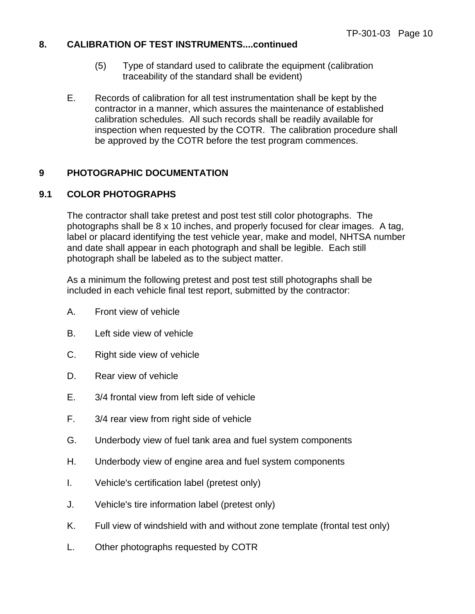#### **8. CALIBRATION OF TEST INSTRUMENTS....continued**

- (5) Type of standard used to calibrate the equipment (calibration traceability of the standard shall be evident)
- E. Records of calibration for all test instrumentation shall be kept by the contractor in a manner, which assures the maintenance of established calibration schedules. All such records shall be readily available for inspection when requested by the COTR. The calibration procedure shall be approved by the COTR before the test program commences.

#### **9 PHOTOGRAPHIC DOCUMENTATION**

#### **9.1 COLOR PHOTOGRAPHS**

The contractor shall take pretest and post test still color photographs. The photographs shall be 8 x 10 inches, and properly focused for clear images. A tag, label or placard identifying the test vehicle year, make and model, NHTSA number and date shall appear in each photograph and shall be legible. Each still photograph shall be labeled as to the subject matter.

As a minimum the following pretest and post test still photographs shall be included in each vehicle final test report, submitted by the contractor:

- A. Front view of vehicle
- B. Left side view of vehicle
- C. Right side view of vehicle
- D. Rear view of vehicle
- E. 3/4 frontal view from left side of vehicle
- F. 3/4 rear view from right side of vehicle
- G. Underbody view of fuel tank area and fuel system components
- H. Underbody view of engine area and fuel system components
- I. Vehicle's certification label (pretest only)
- J. Vehicle's tire information label (pretest only)
- K. Full view of windshield with and without zone template (frontal test only)
- L. Other photographs requested by COTR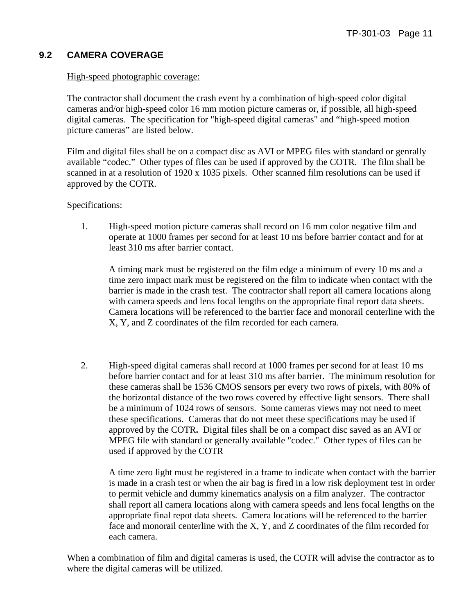#### **9.2 CAMERA COVERAGE**

#### High-speed photographic coverage:

The contractor shall document the crash event by a combination of high-speed color digital cameras and/or high-speed color 16 mm motion picture cameras or, if possible, all high-speed digital cameras. The specification for "high-speed digital cameras" and "high-speed motion picture cameras" are listed below.

Film and digital files shall be on a compact disc as AVI or MPEG files with standard or genrally available "codec." Other types of files can be used if approved by the COTR. The film shall be scanned in at a resolution of 1920 x 1035 pixels. Other scanned film resolutions can be used if approved by the COTR.

Specifications:

1. High-speed motion picture cameras shall record on 16 mm color negative film and operate at 1000 frames per second for at least 10 ms before barrier contact and for at least 310 ms after barrier contact.

A timing mark must be registered on the film edge a minimum of every 10 ms and a time zero impact mark must be registered on the film to indicate when contact with the barrier is made in the crash test. The contractor shall report all camera locations along with camera speeds and lens focal lengths on the appropriate final report data sheets. Camera locations will be referenced to the barrier face and monorail centerline with the X, Y, and Z coordinates of the film recorded for each camera.

2. High-speed digital cameras shall record at 1000 frames per second for at least 10 ms before barrier contact and for at least 310 ms after barrier. The minimum resolution for these cameras shall be 1536 CMOS sensors per every two rows of pixels, with 80% of the horizontal distance of the two rows covered by effective light sensors. There shall be a minimum of 1024 rows of sensors. Some cameras views may not need to meet these specifications. Cameras that do not meet these specifications may be used if approved by the COTR**.** Digital files shall be on a compact disc saved as an AVI or MPEG file with standard or generally available "codec." Other types of files can be used if approved by the COTR

A time zero light must be registered in a frame to indicate when contact with the barrier is made in a crash test or when the air bag is fired in a low risk deployment test in order to permit vehicle and dummy kinematics analysis on a film analyzer. The contractor shall report all camera locations along with camera speeds and lens focal lengths on the appropriate final repot data sheets. Camera locations will be referenced to the barrier face and monorail centerline with the X, Y, and Z coordinates of the film recorded for each camera.

When a combination of film and digital cameras is used, the COTR will advise the contractor as to where the digital cameras will be utilized.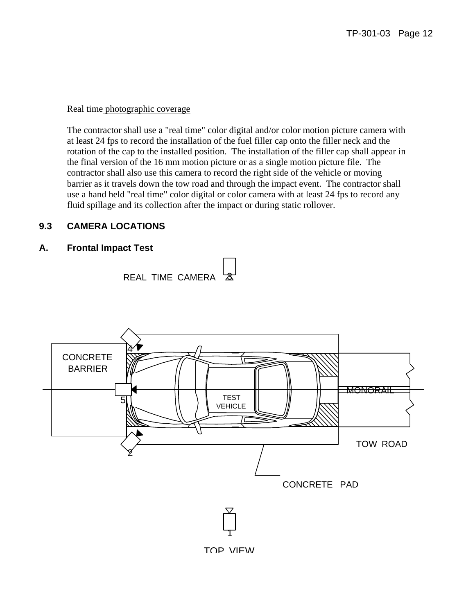Real time photographic coverage

The contractor shall use a "real time" color digital and/or color motion picture camera with at least 24 fps to record the installation of the fuel filler cap onto the filler neck and the rotation of the cap to the installed position. The installation of the filler cap shall appear in the final version of the 16 mm motion picture or as a single motion picture file. The contractor shall also use this camera to record the right side of the vehicle or moving barrier as it travels down the tow road and through the impact event. The contractor shall use a hand held "real time" color digital or color camera with at least 24 fps to record any fluid spillage and its collection after the impact or during static rollover.

#### **9.3 CAMERA LOCATIONS**

#### **A. Frontal Impact Test**



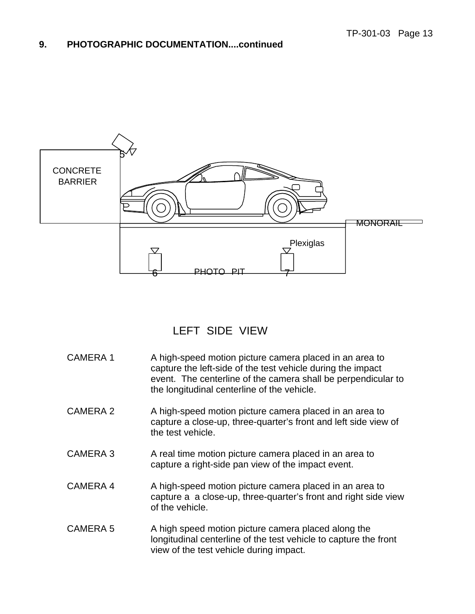

### LEFT SIDE VIEW

| <b>CAMERA1</b>  | A high-speed motion picture camera placed in an area to<br>capture the left-side of the test vehicle during the impact<br>event. The centerline of the camera shall be perpendicular to<br>the longitudinal centerline of the vehicle. |
|-----------------|----------------------------------------------------------------------------------------------------------------------------------------------------------------------------------------------------------------------------------------|
| CAMERA 2        | A high-speed motion picture camera placed in an area to<br>capture a close-up, three-quarter's front and left side view of<br>the test vehicle.                                                                                        |
| CAMERA 3        | A real time motion picture camera placed in an area to<br>capture a right-side pan view of the impact event.                                                                                                                           |
| CAMERA 4        | A high-speed motion picture camera placed in an area to<br>capture a a close-up, three-quarter's front and right side view<br>of the vehicle.                                                                                          |
| <b>CAMERA 5</b> | A high speed motion picture camera placed along the<br>longitudinal centerline of the test vehicle to capture the front<br>view of the test vehicle during impact.                                                                     |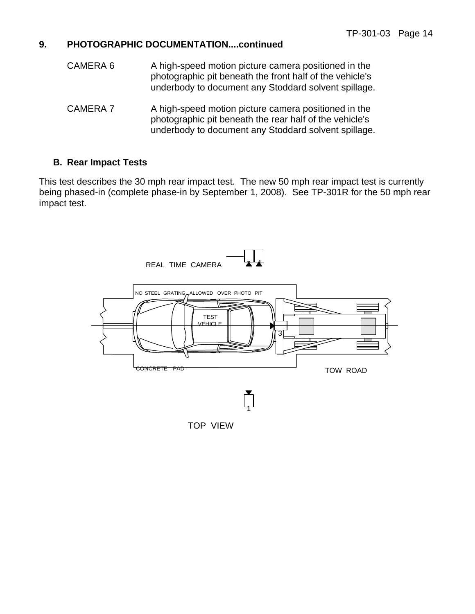- CAMERA 6 A high-speed motion picture camera positioned in the photographic pit beneath the front half of the vehicle's underbody to document any Stoddard solvent spillage.
- CAMERA 7 A high-speed motion picture camera positioned in the photographic pit beneath the rear half of the vehicle's underbody to document any Stoddard solvent spillage.

#### **B. Rear Impact Tests**

This test describes the 30 mph rear impact test. The new 50 mph rear impact test is currently being phased-in (complete phase-in by September 1, 2008). See TP-301R for the 50 mph rear impact test.

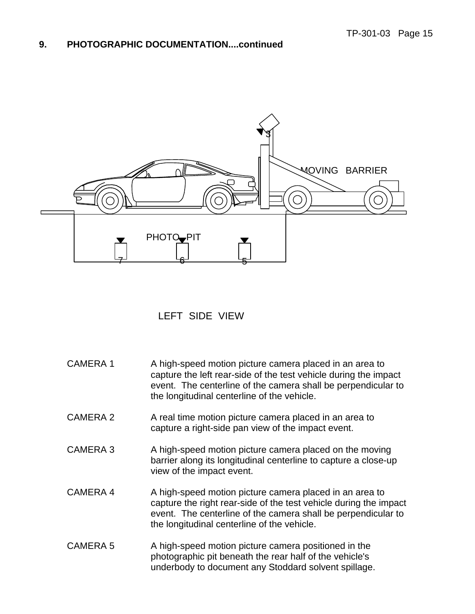

#### LEFT SIDE VIEW

| <b>CAMERA1</b>  | A high-speed motion picture camera placed in an area to<br>capture the left rear-side of the test vehicle during the impact<br>event. The centerline of the camera shall be perpendicular to<br>the longitudinal centerline of the vehicle.  |
|-----------------|----------------------------------------------------------------------------------------------------------------------------------------------------------------------------------------------------------------------------------------------|
| <b>CAMERA 2</b> | A real time motion picture camera placed in an area to<br>capture a right-side pan view of the impact event.                                                                                                                                 |
| <b>CAMERA 3</b> | A high-speed motion picture camera placed on the moving<br>barrier along its longitudinal centerline to capture a close-up<br>view of the impact event.                                                                                      |
| <b>CAMERA 4</b> | A high-speed motion picture camera placed in an area to<br>capture the right rear-side of the test vehicle during the impact<br>event. The centerline of the camera shall be perpendicular to<br>the longitudinal centerline of the vehicle. |
| <b>CAMERA 5</b> | A high-speed motion picture camera positioned in the<br>photographic pit beneath the rear half of the vehicle's<br>underbody to document any Stoddard solvent spillage.                                                                      |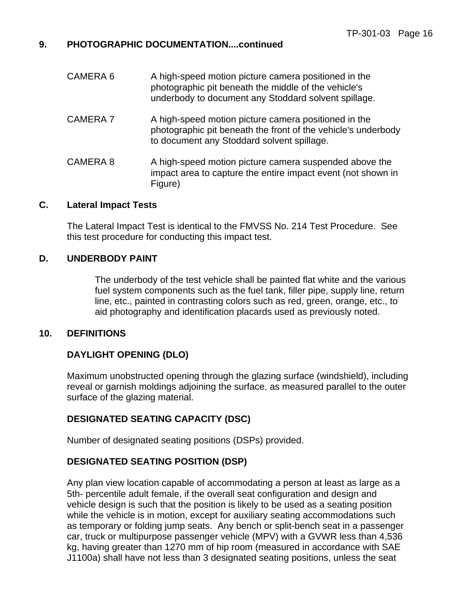| CAMERA 6        | A high-speed motion picture camera positioned in the<br>photographic pit beneath the middle of the vehicle's<br>underbody to document any Stoddard solvent spillage. |
|-----------------|----------------------------------------------------------------------------------------------------------------------------------------------------------------------|
| <b>CAMERA 7</b> | A high-speed motion picture camera positioned in the<br>photographic pit beneath the front of the vehicle's underbody<br>to document any Stoddard solvent spillage.  |
| CAMERA 8        | A high-speed motion picture camera suspended above the<br>impact area to capture the entire impact event (not shown in<br>Figure)                                    |

#### **C. Lateral Impact Tests**

 The Lateral Impact Test is identical to the FMVSS No. 214 Test Procedure. See this test procedure for conducting this impact test.

#### **D. UNDERBODY PAINT**

 The underbody of the test vehicle shall be painted flat white and the various fuel system components such as the fuel tank, filler pipe, supply line, return line, etc., painted in contrasting colors such as red, green, orange, etc., to aid photography and identification placards used as previously noted.

#### **10. DEFINITIONS**

#### **DAYLIGHT OPENING (DLO)**

Maximum unobstructed opening through the glazing surface (windshield), including reveal or garnish moldings adjoining the surface, as measured parallel to the outer surface of the glazing material.

#### **DESIGNATED SEATING CAPACITY (DSC)**

Number of designated seating positions (DSPs) provided.

#### **DESIGNATED SEATING POSITION (DSP)**

Any plan view location capable of accommodating a person at least as large as a 5th- percentile adult female, if the overall seat configuration and design and vehicle design is such that the position is likely to be used as a seating position while the vehicle is in motion, except for auxiliary seating accommodations such as temporary or folding jump seats. Any bench or split-bench seat in a passenger car, truck or multipurpose passenger vehicle (MPV) with a GVWR less than 4,536 kg, having greater than 1270 mm of hip room (measured in accordance with SAE J1100a) shall have not less than 3 designated seating positions, unless the seat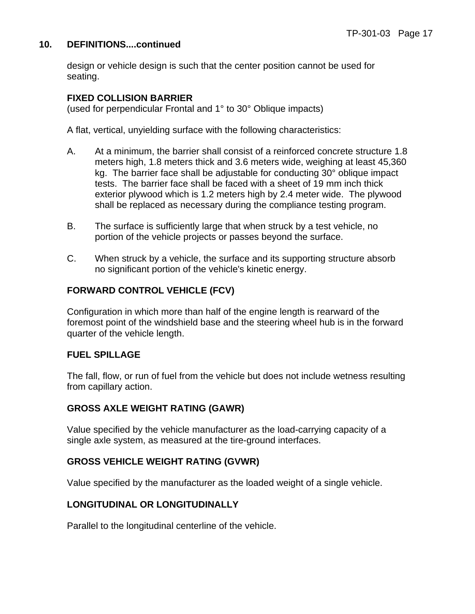#### **10. DEFINITIONS....continued**

design or vehicle design is such that the center position cannot be used for seating.

#### **FIXED COLLISION BARRIER**

(used for perpendicular Frontal and 1° to 30° Oblique impacts)

A flat, vertical, unyielding surface with the following characteristics:

- A. At a minimum, the barrier shall consist of a reinforced concrete structure 1.8 meters high, 1.8 meters thick and 3.6 meters wide, weighing at least 45,360 kg. The barrier face shall be adjustable for conducting 30° oblique impact tests. The barrier face shall be faced with a sheet of 19 mm inch thick exterior plywood which is 1.2 meters high by 2.4 meter wide. The plywood shall be replaced as necessary during the compliance testing program.
- B. The surface is sufficiently large that when struck by a test vehicle, no portion of the vehicle projects or passes beyond the surface.
- C. When struck by a vehicle, the surface and its supporting structure absorb no significant portion of the vehicle's kinetic energy.

#### **FORWARD CONTROL VEHICLE (FCV)**

Configuration in which more than half of the engine length is rearward of the foremost point of the windshield base and the steering wheel hub is in the forward quarter of the vehicle length.

#### **FUEL SPILLAGE**

The fall, flow, or run of fuel from the vehicle but does not include wetness resulting from capillary action.

#### **GROSS AXLE WEIGHT RATING (GAWR)**

Value specified by the vehicle manufacturer as the load-carrying capacity of a single axle system, as measured at the tire-ground interfaces.

#### **GROSS VEHICLE WEIGHT RATING (GVWR)**

Value specified by the manufacturer as the loaded weight of a single vehicle.

#### **LONGITUDINAL OR LONGITUDINALLY**

Parallel to the longitudinal centerline of the vehicle.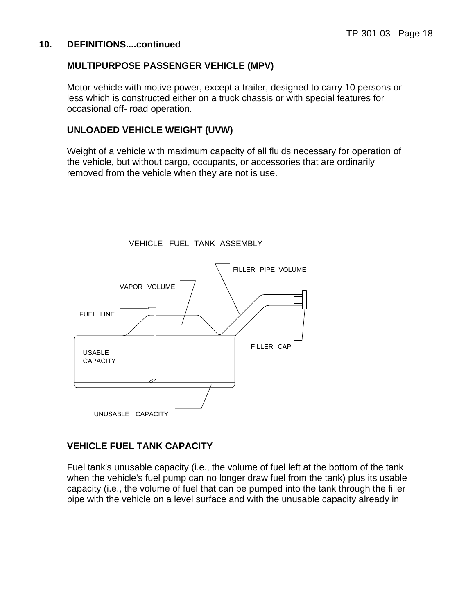#### **10. DEFINITIONS....continued**

#### **MULTIPURPOSE PASSENGER VEHICLE (MPV)**

Motor vehicle with motive power, except a trailer, designed to carry 10 persons or less which is constructed either on a truck chassis or with special features for occasional off- road operation.

#### **UNLOADED VEHICLE WEIGHT (UVW)**

Weight of a vehicle with maximum capacity of all fluids necessary for operation of the vehicle, but without cargo, occupants, or accessories that are ordinarily removed from the vehicle when they are not is use.



VEHICLE FUEL TANK ASSEMBLY

#### **VEHICLE FUEL TANK CAPACITY**

Fuel tank's unusable capacity (i.e., the volume of fuel left at the bottom of the tank when the vehicle's fuel pump can no longer draw fuel from the tank) plus its usable capacity (i.e., the volume of fuel that can be pumped into the tank through the filler pipe with the vehicle on a level surface and with the unusable capacity already in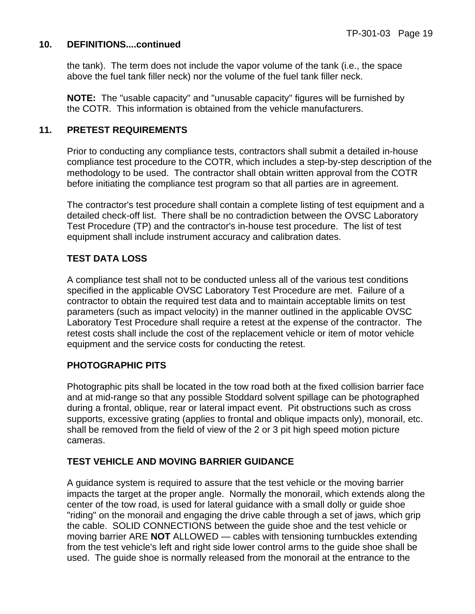#### **10. DEFINITIONS....continued**

the tank). The term does not include the vapor volume of the tank (i.e., the space above the fuel tank filler neck) nor the volume of the fuel tank filler neck.

**NOTE:** The "usable capacity" and "unusable capacity" figures will be furnished by the COTR. This information is obtained from the vehicle manufacturers.

#### **11. PRETEST REQUIREMENTS**

Prior to conducting any compliance tests, contractors shall submit a detailed in-house compliance test procedure to the COTR, which includes a step-by-step description of the methodology to be used. The contractor shall obtain written approval from the COTR before initiating the compliance test program so that all parties are in agreement.

The contractor's test procedure shall contain a complete listing of test equipment and a detailed check-off list. There shall be no contradiction between the OVSC Laboratory Test Procedure (TP) and the contractor's in-house test procedure. The list of test equipment shall include instrument accuracy and calibration dates.

#### **TEST DATA LOSS**

A compliance test shall not to be conducted unless all of the various test conditions specified in the applicable OVSC Laboratory Test Procedure are met. Failure of a contractor to obtain the required test data and to maintain acceptable limits on test parameters (such as impact velocity) in the manner outlined in the applicable OVSC Laboratory Test Procedure shall require a retest at the expense of the contractor. The retest costs shall include the cost of the replacement vehicle or item of motor vehicle equipment and the service costs for conducting the retest.

#### **PHOTOGRAPHIC PITS**

Photographic pits shall be located in the tow road both at the fixed collision barrier face and at mid-range so that any possible Stoddard solvent spillage can be photographed during a frontal, oblique, rear or lateral impact event. Pit obstructions such as cross supports, excessive grating (applies to frontal and oblique impacts only), monorail, etc. shall be removed from the field of view of the 2 or 3 pit high speed motion picture cameras.

#### **TEST VEHICLE AND MOVING BARRIER GUIDANCE**

A guidance system is required to assure that the test vehicle or the moving barrier impacts the target at the proper angle. Normally the monorail, which extends along the center of the tow road, is used for lateral guidance with a small dolly or guide shoe "riding" on the monorail and engaging the drive cable through a set of jaws, which grip the cable. SOLID CONNECTIONS between the guide shoe and the test vehicle or moving barrier ARE **NOT** ALLOWED — cables with tensioning turnbuckles extending from the test vehicle's left and right side lower control arms to the guide shoe shall be used. The guide shoe is normally released from the monorail at the entrance to the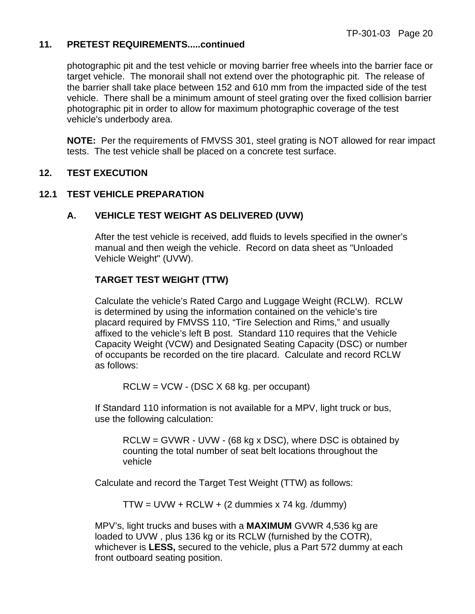#### **11. PRETEST REQUIREMENTS.....continued**

photographic pit and the test vehicle or moving barrier free wheels into the barrier face or target vehicle. The monorail shall not extend over the photographic pit. The release of the barrier shall take place between 152 and 610 mm from the impacted side of the test vehicle. There shall be a minimum amount of steel grating over the fixed collision barrier photographic pit in order to allow for maximum photographic coverage of the test vehicle's underbody area.

**NOTE:** Per the requirements of FMVSS 301, steel grating is NOT allowed for rear impact tests. The test vehicle shall be placed on a concrete test surface.

#### **12. TEST EXECUTION**

#### **12.1 TEST VEHICLE PREPARATION**

#### **A. VEHICLE TEST WEIGHT AS DELIVERED (UVW)**

After the test vehicle is received, add fluids to levels specified in the owner's manual and then weigh the vehicle. Record on data sheet as "Unloaded Vehicle Weight" (UVW).

#### **TARGET TEST WEIGHT (TTW)**

 Calculate the vehicle's Rated Cargo and Luggage Weight (RCLW). RCLW is determined by using the information contained on the vehicle's tire placard required by FMVSS 110, "Tire Selection and Rims," and usually affixed to the vehicle's left B post. Standard 110 requires that the Vehicle Capacity Weight (VCW) and Designated Seating Capacity (DSC) or number of occupants be recorded on the tire placard. Calculate and record RCLW as follows:

RCLW = VCW - (DSC X 68 kg. per occupant)

If Standard 110 information is not available for a MPV, light truck or bus, use the following calculation:

RCLW = GVWR - UVW - (68 kg x DSC), where DSC is obtained by counting the total number of seat belt locations throughout the vehicle

Calculate and record the Target Test Weight (TTW) as follows:

 $TTW = UVW + RCLW + (2$  dummies x 74 kg. /dummy)

MPV's, light trucks and buses with a **MAXIMUM** GVWR 4,536 kg are loaded to UVW , plus 136 kg or its RCLW (furnished by the COTR), whichever is **LESS,** secured to the vehicle, plus a Part 572 dummy at each front outboard seating position.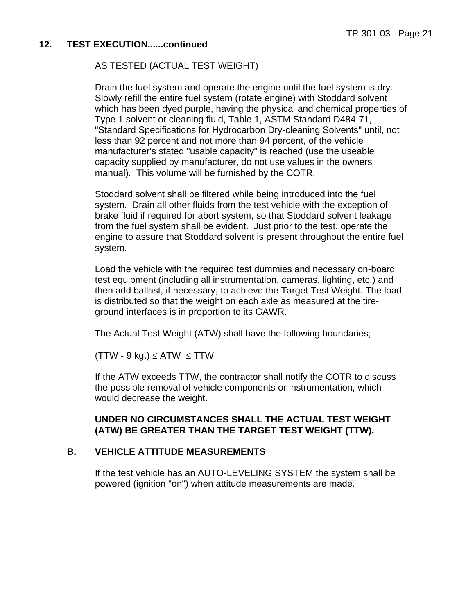#### AS TESTED (ACTUAL TEST WEIGHT)

Drain the fuel system and operate the engine until the fuel system is dry. Slowly refill the entire fuel system (rotate engine) with Stoddard solvent which has been dyed purple, having the physical and chemical properties of Type 1 solvent or cleaning fluid, Table 1, ASTM Standard D484-71, "Standard Specifications for Hydrocarbon Dry-cleaning Solvents" until, not less than 92 percent and not more than 94 percent, of the vehicle manufacturer's stated "usable capacity" is reached (use the useable capacity supplied by manufacturer, do not use values in the owners manual). This volume will be furnished by the COTR.

 Stoddard solvent shall be filtered while being introduced into the fuel system. Drain all other fluids from the test vehicle with the exception of brake fluid if required for abort system, so that Stoddard solvent leakage from the fuel system shall be evident. Just prior to the test, operate the engine to assure that Stoddard solvent is present throughout the entire fuel system.

Load the vehicle with the required test dummies and necessary on-board test equipment (including all instrumentation, cameras, lighting, etc.) and then add ballast, if necessary, to achieve the Target Test Weight. The load is distributed so that the weight on each axle as measured at the tireground interfaces is in proportion to its GAWR.

The Actual Test Weight (ATW) shall have the following boundaries;

 $(TTW - 9 kg.) \leq ATW \leq TTW$ 

If the ATW exceeds TTW, the contractor shall notify the COTR to discuss the possible removal of vehicle components or instrumentation, which would decrease the weight.

#### **UNDER NO CIRCUMSTANCES SHALL THE ACTUAL TEST WEIGHT (ATW) BE GREATER THAN THE TARGET TEST WEIGHT (TTW).**

#### **B. VEHICLE ATTITUDE MEASUREMENTS**

 If the test vehicle has an AUTO-LEVELING SYSTEM the system shall be powered (ignition "on") when attitude measurements are made.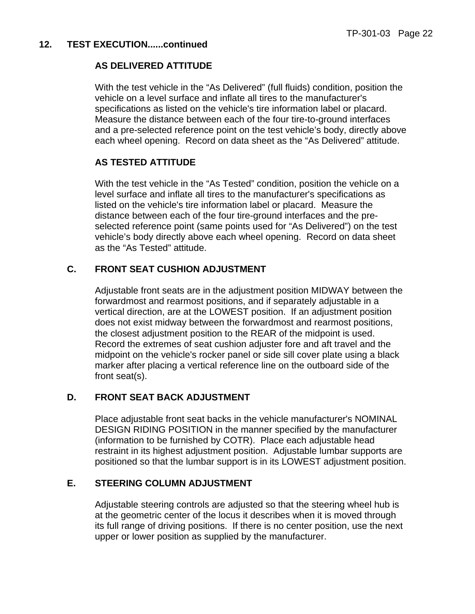#### **AS DELIVERED ATTITUDE**

With the test vehicle in the "As Delivered" (full fluids) condition, position the vehicle on a level surface and inflate all tires to the manufacturer's specifications as listed on the vehicle's tire information label or placard. Measure the distance between each of the four tire-to-ground interfaces and a pre-selected reference point on the test vehicle's body, directly above each wheel opening. Record on data sheet as the "As Delivered" attitude.

#### **AS TESTED ATTITUDE**

With the test vehicle in the "As Tested" condition, position the vehicle on a level surface and inflate all tires to the manufacturer's specifications as listed on the vehicle's tire information label or placard. Measure the distance between each of the four tire-ground interfaces and the preselected reference point (same points used for "As Delivered") on the test vehicle's body directly above each wheel opening. Record on data sheet as the "As Tested" attitude.

#### **C. FRONT SEAT CUSHION ADJUSTMENT**

 Adjustable front seats are in the adjustment position MIDWAY between the forwardmost and rearmost positions, and if separately adjustable in a vertical direction, are at the LOWEST position. If an adjustment position does not exist midway between the forwardmost and rearmost positions, the closest adjustment position to the REAR of the midpoint is used. Record the extremes of seat cushion adjuster fore and aft travel and the midpoint on the vehicle's rocker panel or side sill cover plate using a black marker after placing a vertical reference line on the outboard side of the front seat(s).

#### **D. FRONT SEAT BACK ADJUSTMENT**

 Place adjustable front seat backs in the vehicle manufacturer's NOMINAL DESIGN RIDING POSITION in the manner specified by the manufacturer (information to be furnished by COTR). Place each adjustable head restraint in its highest adjustment position. Adjustable lumbar supports are positioned so that the lumbar support is in its LOWEST adjustment position.

#### **E. STEERING COLUMN ADJUSTMENT**

 Adjustable steering controls are adjusted so that the steering wheel hub is at the geometric center of the locus it describes when it is moved through its full range of driving positions. If there is no center position, use the next upper or lower position as supplied by the manufacturer.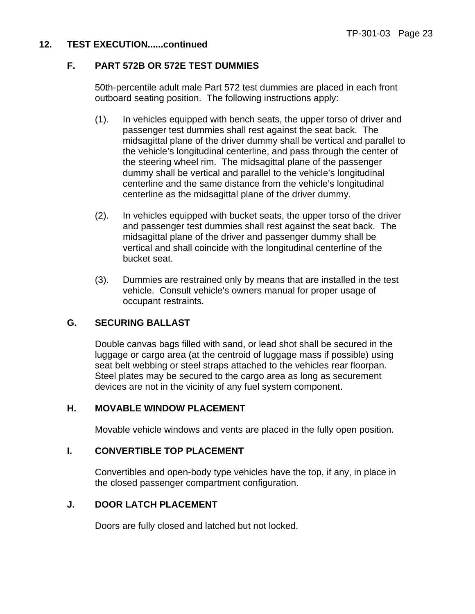#### **F. PART 572B OR 572E TEST DUMMIES**

50th-percentile adult male Part 572 test dummies are placed in each front outboard seating position. The following instructions apply:

- (1). In vehicles equipped with bench seats, the upper torso of driver and passenger test dummies shall rest against the seat back. The midsagittal plane of the driver dummy shall be vertical and parallel to the vehicle's longitudinal centerline, and pass through the center of the steering wheel rim. The midsagittal plane of the passenger dummy shall be vertical and parallel to the vehicle's longitudinal centerline and the same distance from the vehicle's longitudinal centerline as the midsagittal plane of the driver dummy.
- (2). In vehicles equipped with bucket seats, the upper torso of the driver and passenger test dummies shall rest against the seat back. The midsagittal plane of the driver and passenger dummy shall be vertical and shall coincide with the longitudinal centerline of the bucket seat.
- (3). Dummies are restrained only by means that are installed in the test vehicle. Consult vehicle's owners manual for proper usage of occupant restraints.

#### **G. SECURING BALLAST**

 Double canvas bags filled with sand, or lead shot shall be secured in the luggage or cargo area (at the centroid of luggage mass if possible) using seat belt webbing or steel straps attached to the vehicles rear floorpan. Steel plates may be secured to the cargo area as long as securement devices are not in the vicinity of any fuel system component.

#### **H. MOVABLE WINDOW PLACEMENT**

Movable vehicle windows and vents are placed in the fully open position.

#### **I. CONVERTIBLE TOP PLACEMENT**

 Convertibles and open-body type vehicles have the top, if any, in place in the closed passenger compartment configuration.

#### **J. DOOR LATCH PLACEMENT**

Doors are fully closed and latched but not locked.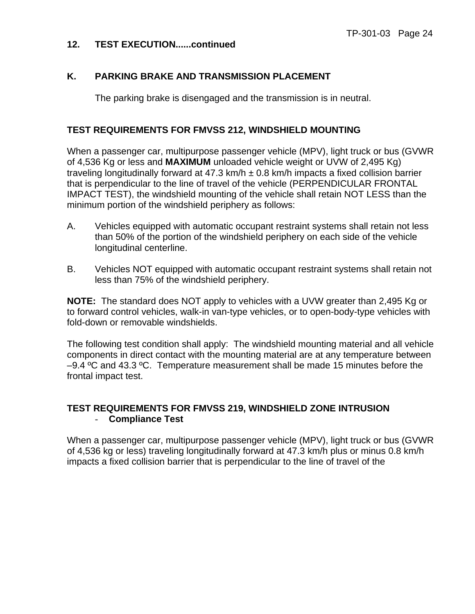#### **K. PARKING BRAKE AND TRANSMISSION PLACEMENT**

The parking brake is disengaged and the transmission is in neutral.

#### **TEST REQUIREMENTS FOR FMVSS 212, WINDSHIELD MOUNTING**

When a passenger car, multipurpose passenger vehicle (MPV), light truck or bus (GVWR of 4,536 Kg or less and **MAXIMUM** unloaded vehicle weight or UVW of 2,495 Kg) traveling longitudinally forward at 47.3 km/h  $\pm$  0.8 km/h impacts a fixed collision barrier that is perpendicular to the line of travel of the vehicle (PERPENDICULAR FRONTAL IMPACT TEST), the windshield mounting of the vehicle shall retain NOT LESS than the minimum portion of the windshield periphery as follows:

- A. Vehicles equipped with automatic occupant restraint systems shall retain not less than 50% of the portion of the windshield periphery on each side of the vehicle longitudinal centerline.
- B. Vehicles NOT equipped with automatic occupant restraint systems shall retain not less than 75% of the windshield periphery.

**NOTE:** The standard does NOT apply to vehicles with a UVW greater than 2,495 Kg or to forward control vehicles, walk-in van-type vehicles, or to open-body-type vehicles with fold-down or removable windshields.

The following test condition shall apply: The windshield mounting material and all vehicle components in direct contact with the mounting material are at any temperature between  $-9.4$  °C and 43.3 °C. Temperature measurement shall be made 15 minutes before the frontal impact test.

#### **TEST REQUIREMENTS FOR FMVSS 219, WINDSHIELD ZONE INTRUSION** - **Compliance Test**

When a passenger car, multipurpose passenger vehicle (MPV), light truck or bus (GVWR of 4,536 kg or less) traveling longitudinally forward at 47.3 km/h plus or minus 0.8 km/h impacts a fixed collision barrier that is perpendicular to the line of travel of the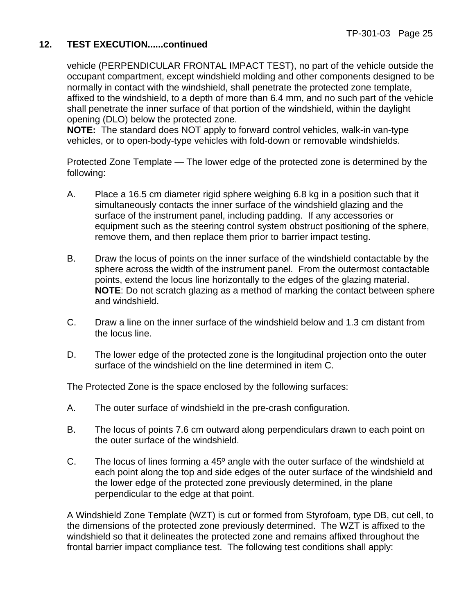vehicle (PERPENDICULAR FRONTAL IMPACT TEST), no part of the vehicle outside the occupant compartment, except windshield molding and other components designed to be normally in contact with the windshield, shall penetrate the protected zone template, affixed to the windshield, to a depth of more than 6.4 mm, and no such part of the vehicle shall penetrate the inner surface of that portion of the windshield, within the daylight opening (DLO) below the protected zone.

**NOTE:** The standard does NOT apply to forward control vehicles, walk-in van-type vehicles, or to open-body-type vehicles with fold-down or removable windshields.

Protected Zone Template — The lower edge of the protected zone is determined by the following:

- A. Place a 16.5 cm diameter rigid sphere weighing 6.8 kg in a position such that it simultaneously contacts the inner surface of the windshield glazing and the surface of the instrument panel, including padding. If any accessories or equipment such as the steering control system obstruct positioning of the sphere, remove them, and then replace them prior to barrier impact testing.
- B. Draw the locus of points on the inner surface of the windshield contactable by the sphere across the width of the instrument panel. From the outermost contactable points, extend the locus line horizontally to the edges of the glazing material. **NOTE**: Do not scratch glazing as a method of marking the contact between sphere and windshield.
- C. Draw a line on the inner surface of the windshield below and 1.3 cm distant from the locus line.
- D. The lower edge of the protected zone is the longitudinal projection onto the outer surface of the windshield on the line determined in item C.

The Protected Zone is the space enclosed by the following surfaces:

- A. The outer surface of windshield in the pre-crash configuration.
- B. The locus of points 7.6 cm outward along perpendiculars drawn to each point on the outer surface of the windshield.
- C. The locus of lines forming a 45º angle with the outer surface of the windshield at each point along the top and side edges of the outer surface of the windshield and the lower edge of the protected zone previously determined, in the plane perpendicular to the edge at that point.

A Windshield Zone Template (WZT) is cut or formed from Styrofoam, type DB, cut cell, to the dimensions of the protected zone previously determined. The WZT is affixed to the windshield so that it delineates the protected zone and remains affixed throughout the frontal barrier impact compliance test. The following test conditions shall apply: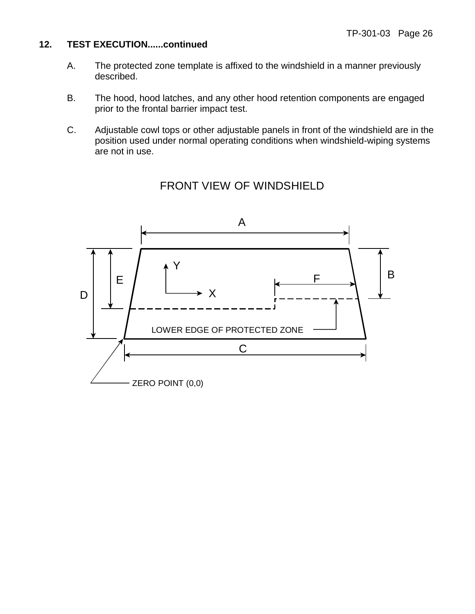- A. The protected zone template is affixed to the windshield in a manner previously described.
- B. The hood, hood latches, and any other hood retention components are engaged prior to the frontal barrier impact test.
- C. Adjustable cowl tops or other adjustable panels in front of the windshield are in the position used under normal operating conditions when windshield-wiping systems are not in use.



#### FRONT VIEW OF WINDSHIELD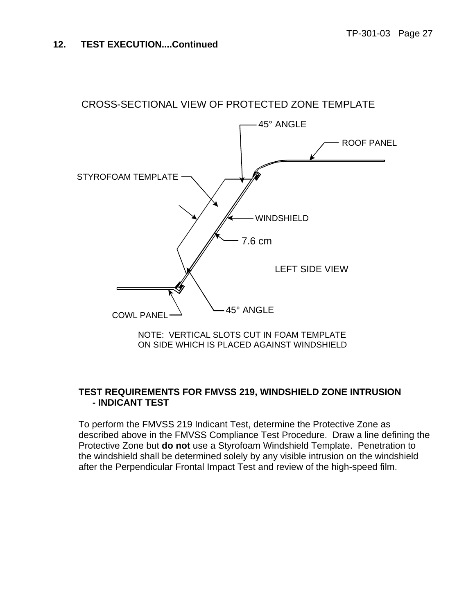

## **TEST REQUIREMENTS FOR FMVSS 219, WINDSHIELD ZONE INTRUSION**

## **- INDICANT TEST**

To perform the FMVSS 219 Indicant Test, determine the Protective Zone as described above in the FMVSS Compliance Test Procedure. Draw a line defining the Protective Zone but **do not** use a Styrofoam Windshield Template. Penetration to the windshield shall be determined solely by any visible intrusion on the windshield after the Perpendicular Frontal Impact Test and review of the high-speed film.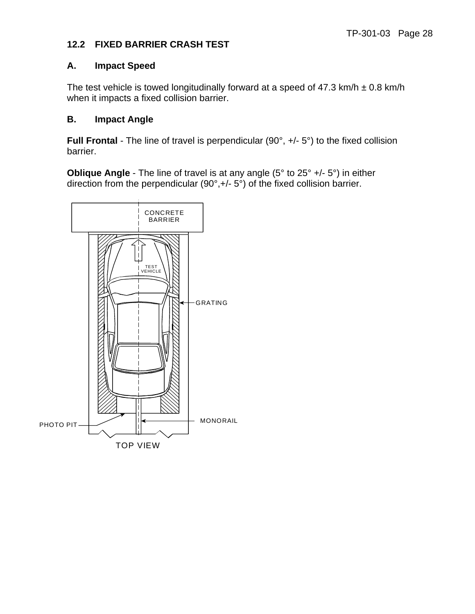#### **12.2 FIXED BARRIER CRASH TEST**

#### **A. Impact Speed**

The test vehicle is towed longitudinally forward at a speed of 47.3 km/h  $\pm$  0.8 km/h when it impacts a fixed collision barrier.

#### **B. Impact Angle**

**Full Frontal** - The line of travel is perpendicular (90°, +/- 5°) to the fixed collision barrier.

**Oblique Angle** - The line of travel is at any angle (5° to 25° +/- 5°) in either direction from the perpendicular (90°,+/- 5°) of the fixed collision barrier.

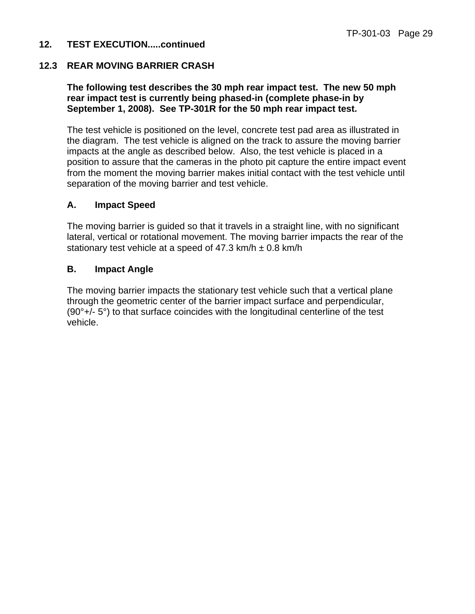#### **12.3 REAR MOVING BARRIER CRASH**

#### **The following test describes the 30 mph rear impact test. The new 50 mph rear impact test is currently being phased-in (complete phase-in by September 1, 2008). See TP-301R for the 50 mph rear impact test.**

The test vehicle is positioned on the level, concrete test pad area as illustrated in the diagram. The test vehicle is aligned on the track to assure the moving barrier impacts at the angle as described below. Also, the test vehicle is placed in a position to assure that the cameras in the photo pit capture the entire impact event from the moment the moving barrier makes initial contact with the test vehicle until separation of the moving barrier and test vehicle.

#### **A. Impact Speed**

The moving barrier is guided so that it travels in a straight line, with no significant lateral, vertical or rotational movement. The moving barrier impacts the rear of the stationary test vehicle at a speed of  $47.3$  km/h  $\pm$  0.8 km/h

#### **B. Impact Angle**

The moving barrier impacts the stationary test vehicle such that a vertical plane through the geometric center of the barrier impact surface and perpendicular, (90°+/- 5°) to that surface coincides with the longitudinal centerline of the test vehicle.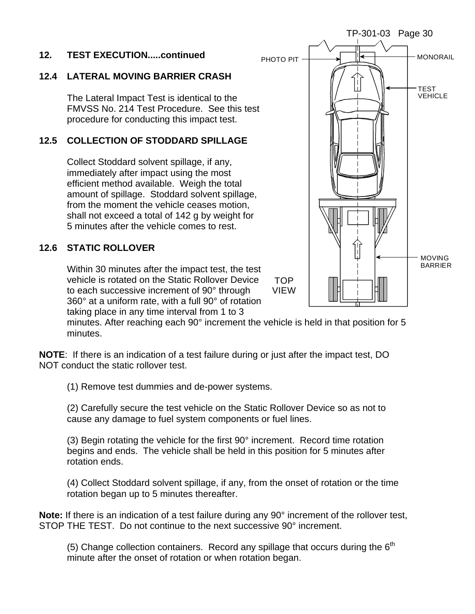#### **12.4 LATERAL MOVING BARRIER CRASH**

The Lateral Impact Test is identical to the FMVSS No. 214 Test Procedure. See this test procedure for conducting this impact test.

#### **12.5 COLLECTION OF STODDARD SPILLAGE**

Collect Stoddard solvent spillage, if any, immediately after impact using the most efficient method available. Weigh the total amount of spillage. Stoddard solvent spillage, from the moment the vehicle ceases motion, shall not exceed a total of 142 g by weight for 5 minutes after the vehicle comes to rest.

#### **12.6 STATIC ROLLOVER**

Within 30 minutes after the impact test, the test vehicle is rotated on the Static Rollover Device to each successive increment of 90° through 360° at a uniform rate, with a full 90° of rotation taking place in any time interval from 1 to 3

minutes. After reaching each 90° increment the vehicle is held in that position for 5 minutes.

**NOTE**: If there is an indication of a test failure during or just after the impact test, DO NOT conduct the static rollover test.

(1) Remove test dummies and de-power systems.

(2) Carefully secure the test vehicle on the Static Rollover Device so as not to cause any damage to fuel system components or fuel lines.

(3) Begin rotating the vehicle for the first 90° increment. Record time rotation begins and ends. The vehicle shall be held in this position for 5 minutes after rotation ends.

(4) Collect Stoddard solvent spillage, if any, from the onset of rotation or the time rotation began up to 5 minutes thereafter.

**Note:** If there is an indication of a test failure during any 90° increment of the rollover test, STOP THE TEST. Do not continue to the next successive 90° increment.

(5) Change collection containers. Record any spillage that occurs during the  $6<sup>th</sup>$ minute after the onset of rotation or when rotation began.

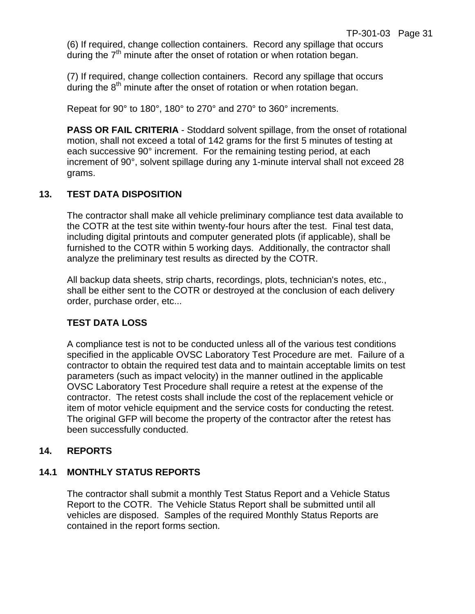(6) If required, change collection containers. Record any spillage that occurs during the  $7<sup>th</sup>$  minute after the onset of rotation or when rotation began.

(7) If required, change collection containers. Record any spillage that occurs during the  $8<sup>th</sup>$  minute after the onset of rotation or when rotation began.

Repeat for 90° to 180°, 180° to 270° and 270° to 360° increments.

**PASS OR FAIL CRITERIA** - Stoddard solvent spillage, from the onset of rotational motion, shall not exceed a total of 142 grams for the first 5 minutes of testing at each successive 90° increment. For the remaining testing period, at each increment of 90°, solvent spillage during any 1-minute interval shall not exceed 28 grams.

#### **13. TEST DATA DISPOSITION**

The contractor shall make all vehicle preliminary compliance test data available to the COTR at the test site within twenty-four hours after the test. Final test data, including digital printouts and computer generated plots (if applicable), shall be furnished to the COTR within 5 working days. Additionally, the contractor shall analyze the preliminary test results as directed by the COTR.

All backup data sheets, strip charts, recordings, plots, technician's notes, etc., shall be either sent to the COTR or destroyed at the conclusion of each delivery order, purchase order, etc...

#### **TEST DATA LOSS**

A compliance test is not to be conducted unless all of the various test conditions specified in the applicable OVSC Laboratory Test Procedure are met. Failure of a contractor to obtain the required test data and to maintain acceptable limits on test parameters (such as impact velocity) in the manner outlined in the applicable OVSC Laboratory Test Procedure shall require a retest at the expense of the contractor. The retest costs shall include the cost of the replacement vehicle or item of motor vehicle equipment and the service costs for conducting the retest. The original GFP will become the property of the contractor after the retest has been successfully conducted.

#### **14. REPORTS**

#### **14.1 MONTHLY STATUS REPORTS**

The contractor shall submit a monthly Test Status Report and a Vehicle Status Report to the COTR. The Vehicle Status Report shall be submitted until all vehicles are disposed. Samples of the required Monthly Status Reports are contained in the report forms section.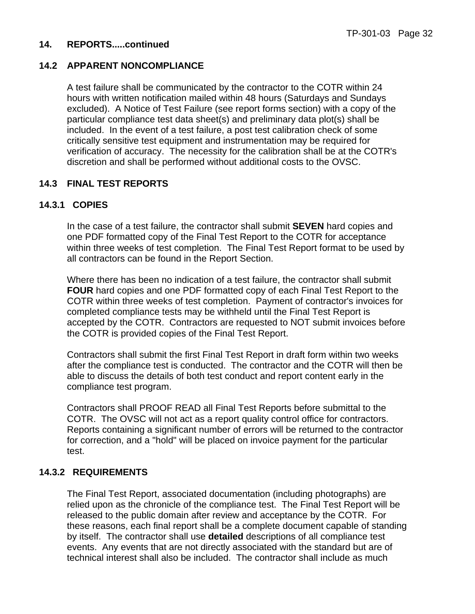#### **14. REPORTS.....continued**

#### **14.2 APPARENT NONCOMPLIANCE**

A test failure shall be communicated by the contractor to the COTR within 24 hours with written notification mailed within 48 hours (Saturdays and Sundays excluded). A Notice of Test Failure (see report forms section) with a copy of the particular compliance test data sheet(s) and preliminary data plot(s) shall be included. In the event of a test failure, a post test calibration check of some critically sensitive test equipment and instrumentation may be required for verification of accuracy. The necessity for the calibration shall be at the COTR's discretion and shall be performed without additional costs to the OVSC.

#### **14.3 FINAL TEST REPORTS**

#### **14.3.1 COPIES**

In the case of a test failure, the contractor shall submit **SEVEN** hard copies and one PDF formatted copy of the Final Test Report to the COTR for acceptance within three weeks of test completion. The Final Test Report format to be used by all contractors can be found in the Report Section.

Where there has been no indication of a test failure, the contractor shall submit **FOUR** hard copies and one PDF formatted copy of each Final Test Report to the COTR within three weeks of test completion. Payment of contractor's invoices for completed compliance tests may be withheld until the Final Test Report is accepted by the COTR. Contractors are requested to NOT submit invoices before the COTR is provided copies of the Final Test Report.

Contractors shall submit the first Final Test Report in draft form within two weeks after the compliance test is conducted. The contractor and the COTR will then be able to discuss the details of both test conduct and report content early in the compliance test program.

Contractors shall PROOF READ all Final Test Reports before submittal to the COTR. The OVSC will not act as a report quality control office for contractors. Reports containing a significant number of errors will be returned to the contractor for correction, and a "hold" will be placed on invoice payment for the particular test.

#### **14.3.2 REQUIREMENTS**

The Final Test Report, associated documentation (including photographs) are relied upon as the chronicle of the compliance test. The Final Test Report will be released to the public domain after review and acceptance by the COTR. For these reasons, each final report shall be a complete document capable of standing by itself. The contractor shall use **detailed** descriptions of all compliance test events. Any events that are not directly associated with the standard but are of technical interest shall also be included. The contractor shall include as much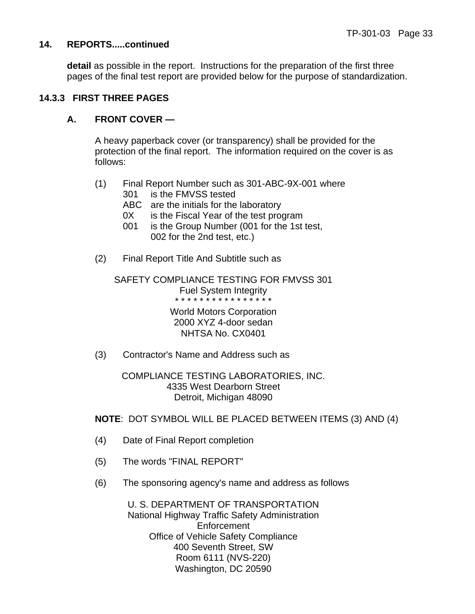#### **14. REPORTS.....continued**

**detail** as possible in the report. Instructions for the preparation of the first three pages of the final test report are provided below for the purpose of standardization.

#### **14.3.3 FIRST THREE PAGES**

#### **A. FRONT COVER —**

 A heavy paperback cover (or transparency) shall be provided for the protection of the final report. The information required on the cover is as follows:

- (1) Final Report Number such as 301-ABC-9X-001 where 301 is the FMVSS tested
	- ABC are the initials for the laboratory
	- 0X is the Fiscal Year of the test program
	- 001 is the Group Number (001 for the 1st test, 002 for the 2nd test, etc.)
- (2) Final Report Title And Subtitle such as

SAFETY COMPLIANCE TESTING FOR FMVSS 301 Fuel System Integrity \* \* \* \* \* \* \* \* \* \* \* \* \* \* \* \*

World Motors Corporation 2000 XYZ 4-door sedan NHTSA No. CX0401

(3) Contractor's Name and Address such as

COMPLIANCE TESTING LABORATORIES, INC. 4335 West Dearborn Street Detroit, Michigan 48090

 **NOTE**: DOT SYMBOL WILL BE PLACED BETWEEN ITEMS (3) AND (4)

- (4) Date of Final Report completion
- (5) The words "FINAL REPORT"
- (6) The sponsoring agency's name and address as follows

U. S. DEPARTMENT OF TRANSPORTATION National Highway Traffic Safety Administration Enforcement Office of Vehicle Safety Compliance 400 Seventh Street, SW Room 6111 (NVS-220) Washington, DC 20590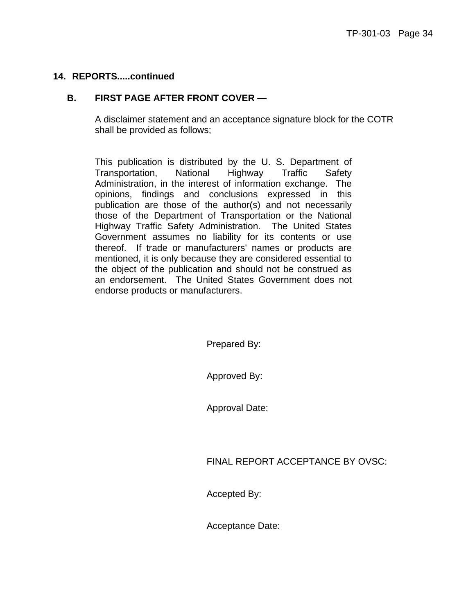### **B. FIRST PAGE AFTER FRONT COVER —**

 A disclaimer statement and an acceptance signature block for the COTR shall be provided as follows;

This publication is distributed by the U. S. Department of Transportation, National Highway Traffic Safety Administration, in the interest of information exchange. The opinions, findings and conclusions expressed in this publication are those of the author(s) and not necessarily those of the Department of Transportation or the National Highway Traffic Safety Administration. The United States Government assumes no liability for its contents or use thereof. If trade or manufacturers' names or products are mentioned, it is only because they are considered essential to the object of the publication and should not be construed as an endorsement. The United States Government does not endorse products or manufacturers.

Prepared By:

Approved By:

Approval Date:

FINAL REPORT ACCEPTANCE BY OVSC:

Accepted By:

Acceptance Date: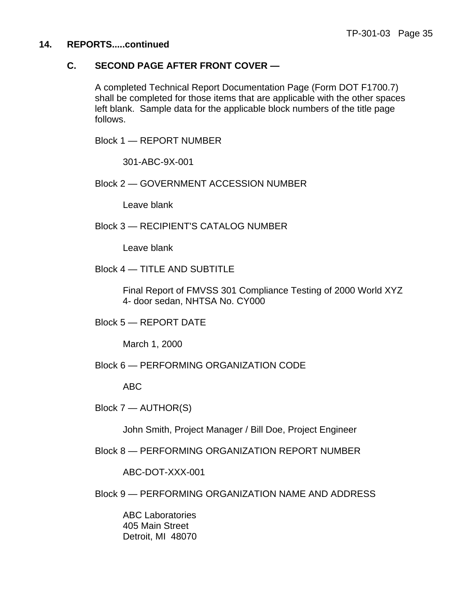### **C. SECOND PAGE AFTER FRONT COVER —**

 A completed Technical Report Documentation Page (Form DOT F1700.7) shall be completed for those items that are applicable with the other spaces left blank. Sample data for the applicable block numbers of the title page follows.

Block 1 — REPORT NUMBER

301-ABC-9X-001

Block 2 — GOVERNMENT ACCESSION NUMBER

Leave blank

Block 3 — RECIPIENT'S CATALOG NUMBER

Leave blank

Block 4 — TITLE AND SUBTITLE

 Final Report of FMVSS 301 Compliance Testing of 2000 World XYZ 4- door sedan, NHTSA No. CY000

Block 5 — REPORT DATE

March 1, 2000

Block 6 — PERFORMING ORGANIZATION CODE

ABC

Block 7 — AUTHOR(S)

John Smith, Project Manager / Bill Doe, Project Engineer

Block 8 — PERFORMING ORGANIZATION REPORT NUMBER

ABC-DOT-XXX-001

Block 9 — PERFORMING ORGANIZATION NAME AND ADDRESS

 ABC Laboratories 405 Main Street Detroit, MI 48070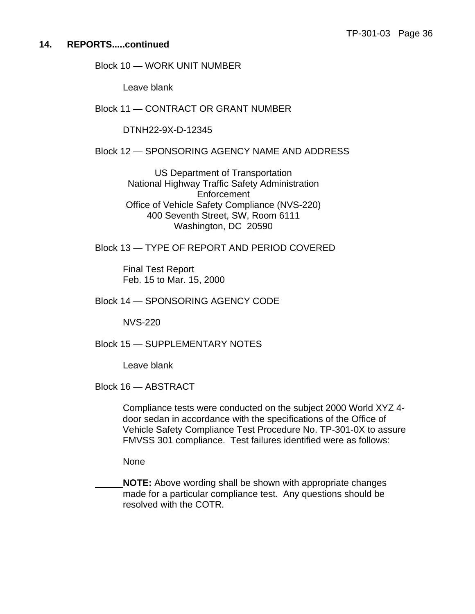Block 10 — WORK UNIT NUMBER

Leave blank

Block 11 — CONTRACT OR GRANT NUMBER

DTNH22-9X-D-12345

Block 12 — SPONSORING AGENCY NAME AND ADDRESS

US Department of Transportation National Highway Traffic Safety Administration Enforcement Office of Vehicle Safety Compliance (NVS-220) 400 Seventh Street, SW, Room 6111 Washington, DC 20590

Block 13 — TYPE OF REPORT AND PERIOD COVERED

 Final Test Report Feb. 15 to Mar. 15, 2000

Block 14 — SPONSORING AGENCY CODE

NVS-220

Block 15 — SUPPLEMENTARY NOTES

Leave blank

Block 16 — ABSTRACT

 Compliance tests were conducted on the subject 2000 World XYZ 4 door sedan in accordance with the specifications of the Office of Vehicle Safety Compliance Test Procedure No. TP-301-0X to assure FMVSS 301 compliance. Test failures identified were as follows:

None

 **NOTE:** Above wording shall be shown with appropriate changes made for a particular compliance test. Any questions should be resolved with the COTR.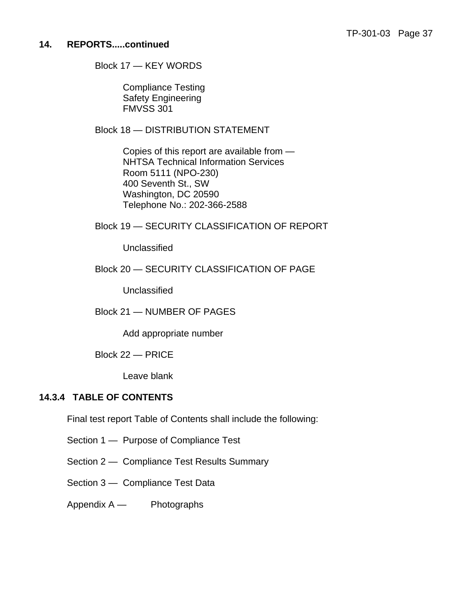Block 17 — KEY WORDS

 Compliance Testing Safety Engineering FMVSS 301

Block 18 — DISTRIBUTION STATEMENT

 Copies of this report are available from — NHTSA Technical Information Services Room 5111 (NPO-230) 400 Seventh St., SW Washington, DC 20590 Telephone No.: 202-366-2588

Block 19 — SECURITY CLASSIFICATION OF REPORT

Unclassified

### Block 20 — SECURITY CLASSIFICATION OF PAGE

**Unclassified** 

### Block 21 — NUMBER OF PAGES

Add appropriate number

Block 22 — PRICE

Leave blank

### **14.3.4 TABLE OF CONTENTS**

Final test report Table of Contents shall include the following:

Section 1 — Purpose of Compliance Test

Section 2 — Compliance Test Results Summary

Section 3 — Compliance Test Data

Appendix A — Photographs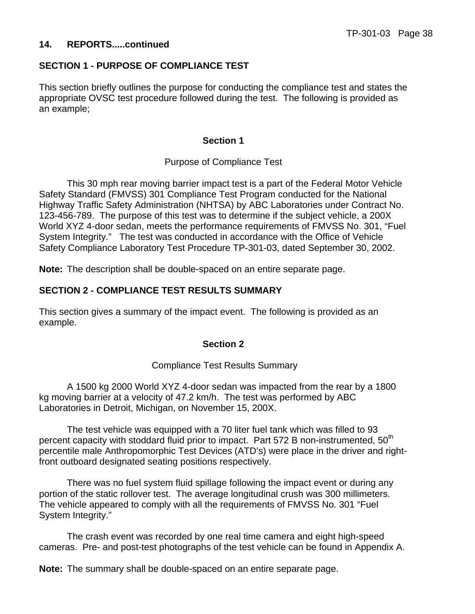### **SECTION 1 - PURPOSE OF COMPLIANCE TEST**

This section briefly outlines the purpose for conducting the compliance test and states the appropriate OVSC test procedure followed during the test. The following is provided as an example;

### **Section 1**

### Purpose of Compliance Test

 This 30 mph rear moving barrier impact test is a part of the Federal Motor Vehicle Safety Standard (FMVSS) 301 Compliance Test Program conducted for the National Highway Traffic Safety Administration (NHTSA) by ABC Laboratories under Contract No. 123-456-789. The purpose of this test was to determine if the subject vehicle, a 200X World XYZ 4-door sedan, meets the performance requirements of FMVSS No. 301, "Fuel System Integrity." The test was conducted in accordance with the Office of Vehicle Safety Compliance Laboratory Test Procedure TP-301-03, dated September 30, 2002.

**Note:** The description shall be double-spaced on an entire separate page.

### **SECTION 2 - COMPLIANCE TEST RESULTS SUMMARY**

This section gives a summary of the impact event. The following is provided as an example.

#### **Section 2**

#### Compliance Test Results Summary

 A 1500 kg 2000 World XYZ 4-door sedan was impacted from the rear by a 1800 kg moving barrier at a velocity of 47.2 km/h. The test was performed by ABC Laboratories in Detroit, Michigan, on November 15, 200X.

 The test vehicle was equipped with a 70 liter fuel tank which was filled to 93 percent capacity with stoddard fluid prior to impact. Part 572 B non-instrumented,  $50<sup>th</sup>$ percentile male Anthropomorphic Test Devices (ATD's) were place in the driver and rightfront outboard designated seating positions respectively.

 There was no fuel system fluid spillage following the impact event or during any portion of the static rollover test. The average longitudinal crush was 300 millimeters. The vehicle appeared to comply with all the requirements of FMVSS No. 301 "Fuel System Integrity."

 The crash event was recorded by one real time camera and eight high-speed cameras. Pre- and post-test photographs of the test vehicle can be found in Appendix A.

**Note:** The summary shall be double-spaced on an entire separate page.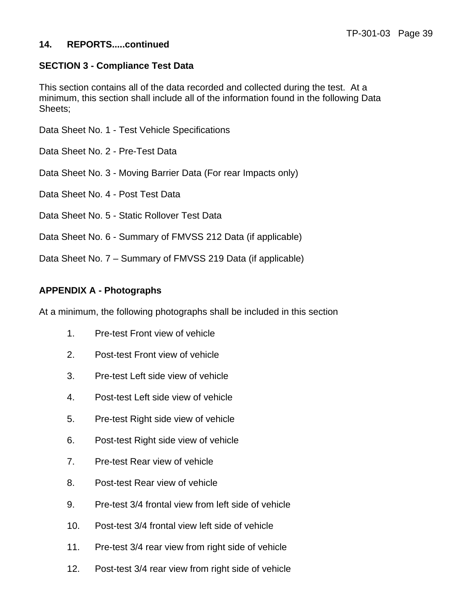### **SECTION 3 - Compliance Test Data**

This section contains all of the data recorded and collected during the test. At a minimum, this section shall include all of the information found in the following Data Sheets;

Data Sheet No. 1 - Test Vehicle Specifications

Data Sheet No. 2 - Pre-Test Data

Data Sheet No. 3 - Moving Barrier Data (For rear Impacts only)

Data Sheet No. 4 - Post Test Data

Data Sheet No. 5 - Static Rollover Test Data

Data Sheet No. 6 - Summary of FMVSS 212 Data (if applicable)

Data Sheet No. 7 – Summary of FMVSS 219 Data (if applicable)

### **APPENDIX A - Photographs**

At a minimum, the following photographs shall be included in this section

- 1. Pre-test Front view of vehicle
- 2. Post-test Front view of vehicle
- 3. Pre-test Left side view of vehicle
- 4. Post-test Left side view of vehicle
- 5. Pre-test Right side view of vehicle
- 6. Post-test Right side view of vehicle
- 7. Pre-test Rear view of vehicle
- 8. Post-test Rear view of vehicle
- 9. Pre-test 3/4 frontal view from left side of vehicle
- 10. Post-test 3/4 frontal view left side of vehicle
- 11. Pre-test 3/4 rear view from right side of vehicle
- 12. Post-test 3/4 rear view from right side of vehicle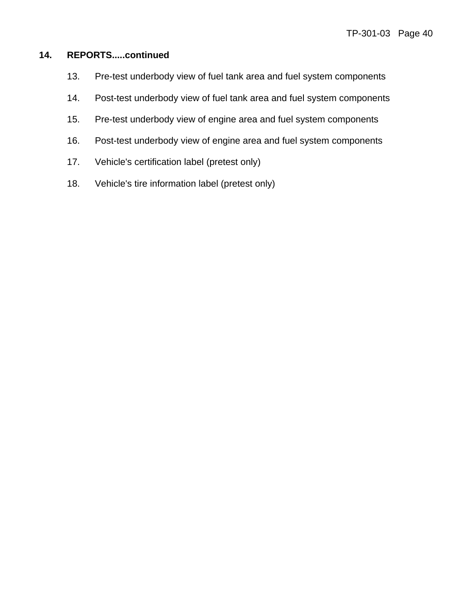- 13. Pre-test underbody view of fuel tank area and fuel system components
- 14. Post-test underbody view of fuel tank area and fuel system components
- 15. Pre-test underbody view of engine area and fuel system components
- 16. Post-test underbody view of engine area and fuel system components
- 17. Vehicle's certification label (pretest only)
- 18. Vehicle's tire information label (pretest only)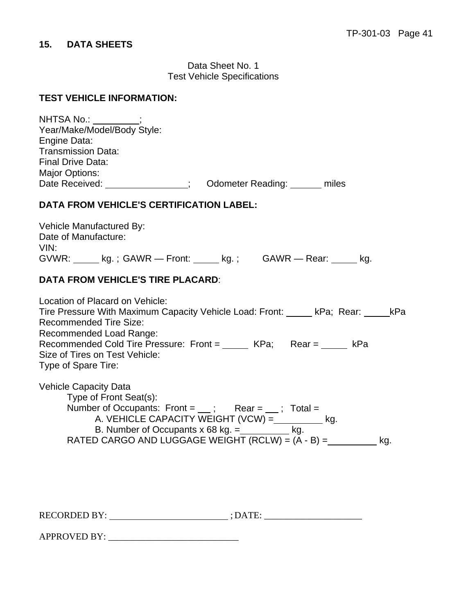# **15. DATA SHEETS**

Data Sheet No. 1 Test Vehicle Specifications

#### **TEST VEHICLE INFORMATION:**

| Year/Make/Model/Body Style:<br>Engine Data:<br><b>Transmission Data:</b><br><b>Final Drive Data:</b><br><b>Major Options:</b>                                                                                                                                                                                         |  |
|-----------------------------------------------------------------------------------------------------------------------------------------------------------------------------------------------------------------------------------------------------------------------------------------------------------------------|--|
| <b>DATA FROM VEHICLE'S CERTIFICATION LABEL:</b>                                                                                                                                                                                                                                                                       |  |
| Vehicle Manufactured By:<br>Date of Manufacture:<br>VIN:<br>GVWR: _____ kg.; GAWR - Front: _____ kg.; GAWR - Rear: _____ kg.                                                                                                                                                                                          |  |
| <b>DATA FROM VEHICLE'S TIRE PLACARD:</b>                                                                                                                                                                                                                                                                              |  |
| Location of Placard on Vehicle:<br>Tire Pressure With Maximum Capacity Vehicle Load: Front: kPa; Rear: kPa<br><b>Recommended Tire Size:</b><br>Recommended Load Range:<br>Recommended Cold Tire Pressure: Front = _____ KPa; Rear = kPa<br>Size of Tires on Test Vehicle:<br>Type of Spare Tire:                      |  |
| <b>Vehicle Capacity Data</b><br>Type of Front Seat(s):<br>Number of Occupants: Front = $\quad$ ; Rear = $\quad$ ; Total =<br>A. VEHICLE CAPACITY WEIGHT (VCW) = __________ kg.<br>B. Number of Occupants $x$ 68 kg. = $\qquad \qquad$ kg.<br>RATED CARGO AND LUGGAGE WEIGHT (RCLW) = $(A - B) =$ ________________ kg. |  |
|                                                                                                                                                                                                                                                                                                                       |  |

RECORDED BY: ; DATE: \_\_\_\_\_\_\_\_\_\_\_\_\_\_\_\_\_\_\_\_\_

APPROVED BY: \_\_\_\_\_\_\_\_\_\_\_\_\_\_\_\_\_\_\_\_\_\_\_\_\_\_\_\_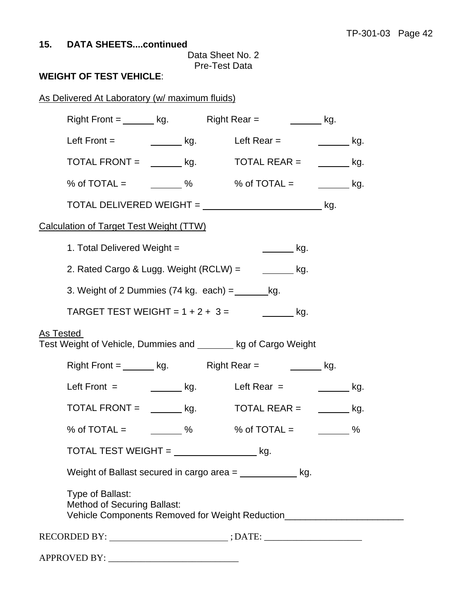Data Sheet No. 2 Pre-Test Data

# **WEIGHT OF TEST VEHICLE**:

| As Delivered At Laboratory (w/ maximum fluids)                                                                                             |                                                       |  |
|--------------------------------------------------------------------------------------------------------------------------------------------|-------------------------------------------------------|--|
| Right Front = $\_\_\_\$ kg. Right Rear = $\_\_\_\_\$ kg.                                                                                   |                                                       |  |
| Left Front = $\qquad \qquad$ kg.                                                                                                           | Left Rear $=$ kg.                                     |  |
| $\text{TOTAL FROMI} = \_\_\_\_\$ kg. $\qquad \text{TOTAL REAR} = \_\_\_\_\_\$ kg.                                                          |                                                       |  |
| % of $\text{TOTAL} =$ %                                                                                                                    | % of $\text{TOTAL} =$ ____________ kg.                |  |
|                                                                                                                                            |                                                       |  |
| <b>Calculation of Target Test Weight (TTW)</b>                                                                                             |                                                       |  |
| 1. Total Delivered Weight =                                                                                                                | __________ kg.                                        |  |
| 2. Rated Cargo & Lugg. Weight (RCLW) =                                                                                                     | $\frac{1}{\sqrt{1-\frac{1}{2}}}\kappa$                |  |
| 3. Weight of 2 Dummies $(74 \text{ kg. each}) =$ kg.                                                                                       |                                                       |  |
| TARGET TEST WEIGHT = $1 + 2 + 3 =$                                                                                                         | $\overline{\phantom{a}}$ kg.                          |  |
| As Tested<br>Test Weight of Vehicle, Dummies and _______ kg of Cargo Weight                                                                |                                                       |  |
| Right Front = $\_\_\_\_$ kg. Right Rear = $\_\_\_\_\_$ kg.                                                                                 |                                                       |  |
| Left Front = $\qquad \qquad$ kg. Left Rear = $\qquad \qquad$ kg.                                                                           |                                                       |  |
| TOTAL FRONT = $\_\_\_\_\_\_\$ kg.                                                                                                          | $\mathsf{TOTAL} \ \mathsf{REAR} = \ \ \_\_\_\_\_\_\\$ |  |
| % of TOTAL = $\frac{1}{2}$ %                                                                                                               | % of TOTAL = $\frac{1}{2}$ %                          |  |
| $\overline{1}$ TOTAL TEST WEIGHT = $\overline{1}$ kg.                                                                                      |                                                       |  |
| Weight of Ballast secured in cargo area $=$ kg.                                                                                            |                                                       |  |
| Type of Ballast:<br><b>Method of Securing Ballast:</b><br>Vehicle Components Removed for Weight Reduction_________________________________ |                                                       |  |
| RECORDED BY: ________________________; DATE: ___________________________________                                                           |                                                       |  |
|                                                                                                                                            |                                                       |  |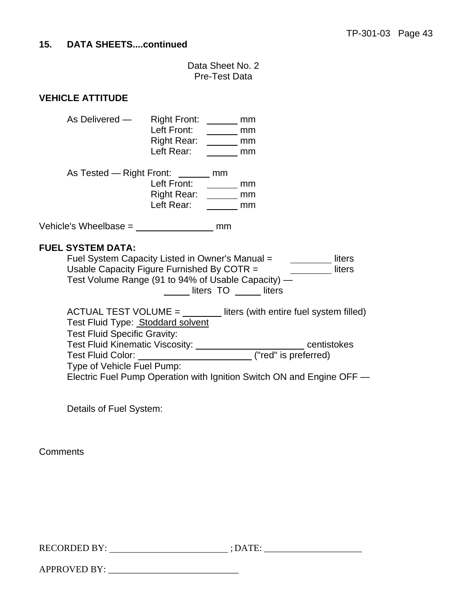Data Sheet No. 2 Pre-Test Data

### **VEHICLE ATTITUDE**

| As Delivered - | <b>Right Front:</b> | mm |
|----------------|---------------------|----|
|                | Left Front:         | mm |
|                | Right Rear:         | mm |
|                | Left Rear:          | mm |

| mm |
|----|
| mm |
| mm |
| mm |
|    |

Vehicle's Wheelbase = mm

#### **FUEL SYSTEM DATA:**

Fuel System Capacity Listed in Owner's Manual = liters Usable Capacity Figure Furnished By COTR  $=$  \_\_\_\_\_\_\_\_\_\_\_\_\_ liters Test Volume Range (91 to 94% of Usable Capacity) — <u>Lasse Liters TO</u> Liters

 $ACTUAL TEST VOLUME =$  liters (with entire fuel system filled) Test Fluid Type: Stoddard solvent Test Fluid Specific Gravity: Test Fluid Kinematic Viscosity: \_\_\_\_\_\_\_\_\_\_\_\_\_\_\_\_\_\_\_\_\_\_\_\_\_\_centistokes Test Fluid Color: ("red" is preferred) Type of Vehicle Fuel Pump: Electric Fuel Pump Operation with Ignition Switch ON and Engine OFF —

Details of Fuel System:

**Comments** 

RECORDED BY: ; DATE: \_\_\_\_\_\_\_\_\_\_\_\_\_\_\_\_\_\_\_\_\_

APPROVED BY: \_\_\_\_\_\_\_\_\_\_\_\_\_\_\_\_\_\_\_\_\_\_\_\_\_\_\_\_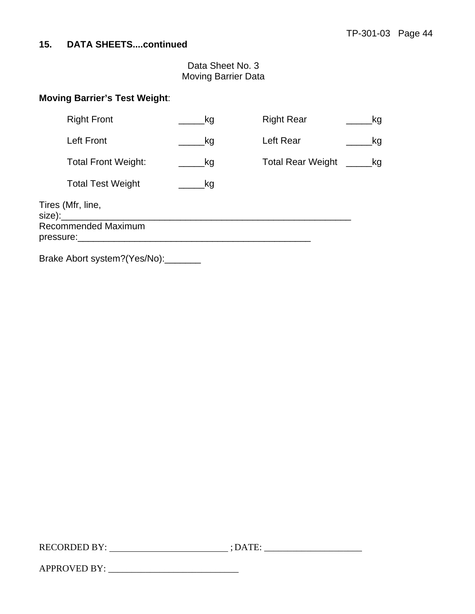Data Sheet No. 3 Moving Barrier Data

### **Moving Barrier's Test Weight**:

| <b>Right Front</b>                                    | kg  | <b>Right Rear</b>        | _kg |
|-------------------------------------------------------|-----|--------------------------|-----|
| <b>Left Front</b>                                     | _kg | Left Rear                | kg  |
| <b>Total Front Weight:</b>                            | _kg | <b>Total Rear Weight</b> | _kg |
| <b>Total Test Weight</b>                              | _kg |                          |     |
| Tires (Mfr, line,<br>$size)$ :<br>Recommended Maximum |     |                          |     |
|                                                       |     |                          |     |
| Brake Abort system?(Yes/No):                          |     |                          |     |

RECORDED BY: ; DATE: \_\_\_\_\_\_\_\_\_\_\_\_\_\_\_\_\_\_\_\_\_

APPROVED BY: \_\_\_\_\_\_\_\_\_\_\_\_\_\_\_\_\_\_\_\_\_\_\_\_\_\_\_\_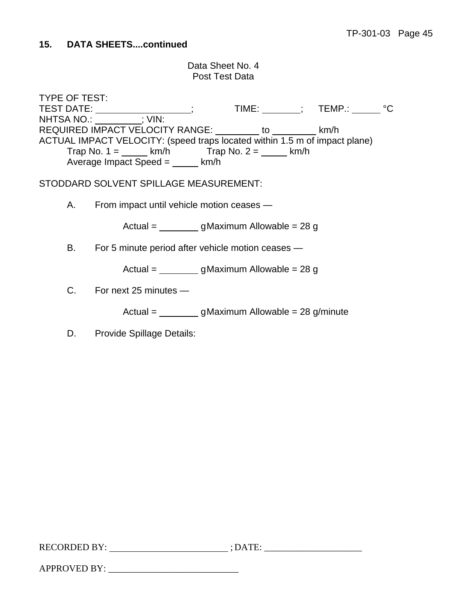### Data Sheet No. 4 Post Test Data

TYPE OF TEST:<br>TEST DATE: \_\_\_\_\_\_\_; TIME: \_\_\_\_\_\_\_\_\_; TEMP.: \_\_\_\_\_\_\_ °C NHTSA NO.: : : VIN: REQUIRED IMPACT VELOCITY RANGE: \_\_\_\_\_\_\_\_ to \_\_\_\_\_\_\_\_\_ km/h ACTUAL IMPACT VELOCITY: (speed traps located within 1.5 m of impact plane) Trap No. 1 =  $\_\_\_\_$  km/h Trap No. 2 =  $\_\_\_\_$  km/h Average Impact Speed  $=$  \_\_\_\_\_\_ km/h

STODDARD SOLVENT SPILLAGE MEASUREMENT:

A. From impact until vehicle motion ceases —

Actual = g Maximum Allowable = 28 g

B. For 5 minute period after vehicle motion ceases —

Actual = g Maximum Allowable = 28 g

C. For next 25 minutes —

 $Actual = q$  Maximum Allowable = 28 g/minute

D. Provide Spillage Details:

| <b>RECORDED BY:</b> | DATE |
|---------------------|------|
|                     |      |

APPROVED BY: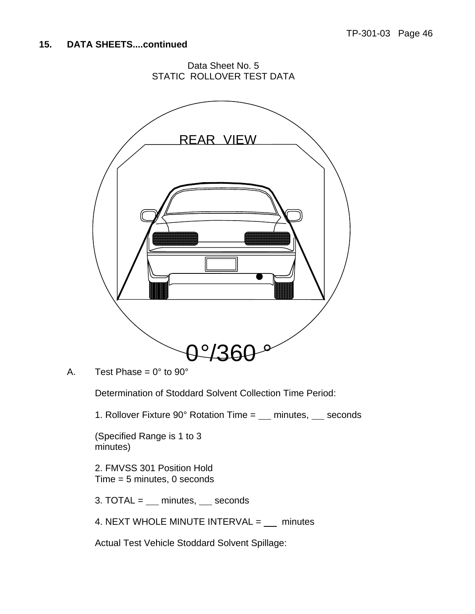Data Sheet No. 5 STATIC ROLLOVER TEST DATA



A. Test Phase =  $0^\circ$  to  $90^\circ$ 

Determination of Stoddard Solvent Collection Time Period:

1. Rollover Fixture  $90^\circ$  Rotation Time =  $\_\_\_\$ minutes,  $\_\_\_\$ seconds

(Specified Range is 1 to 3 minutes)

2. FMVSS 301 Position Hold Time = 5 minutes, 0 seconds

3. TOTAL =  $\text{minutes}, \text{secons}$ 

4. NEXT WHOLE MINUTE INTERVAL =  $\text{minutes}$ 

Actual Test Vehicle Stoddard Solvent Spillage: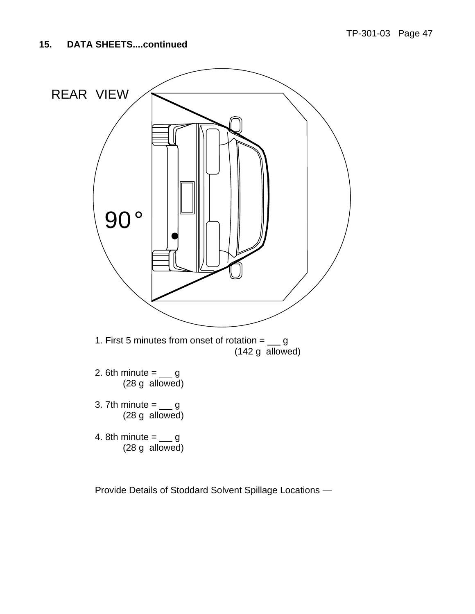

Provide Details of Stoddard Solvent Spillage Locations —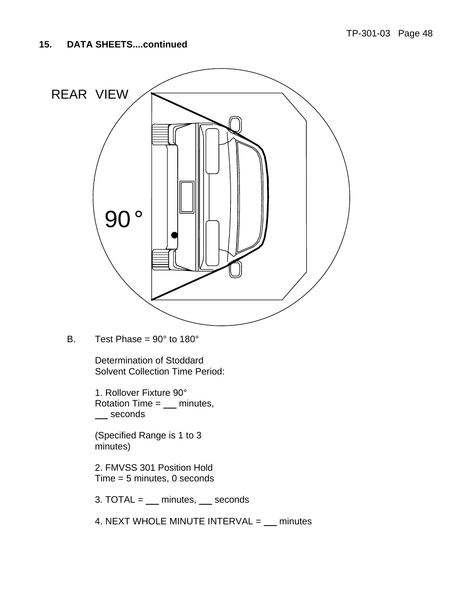

B. Test Phase =  $90^\circ$  to  $180^\circ$ 

 Determination of Stoddard Solvent Collection Time Period:

1. Rollover Fixture 90° Rotation Time  $=$   $\quad$  minutes, seconds

(Specified Range is 1 to 3 minutes)

2. FMVSS 301 Position Hold Time = 5 minutes, 0 seconds

3. TOTAL =  $\text{minutes}, \text{secons}$ 

4. NEXT WHOLE MINUTE INTERVAL  $=$   $\quad$  minutes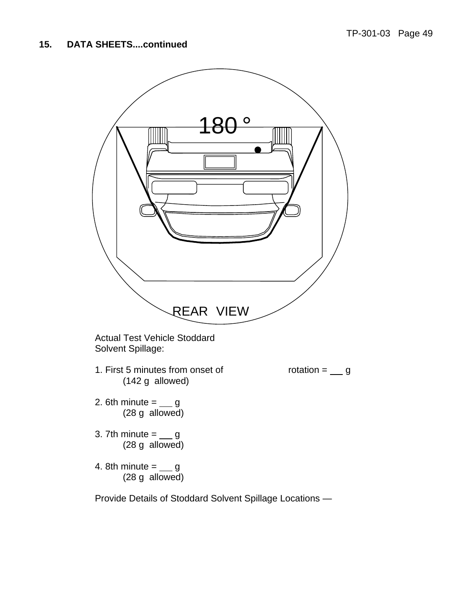

Actual Test Vehicle Stoddard Solvent Spillage:

1. First 5 minutes from onset of  $rotation =$  g (142 g allowed)

- 2. 6th minute  $=$   $\_\_$  g (28 g allowed)
- 3. 7th minute  $=$   $\_\_$  g (28 g allowed)
- 4. 8th minute  $=$   $\_\_$  g (28 g allowed)

Provide Details of Stoddard Solvent Spillage Locations —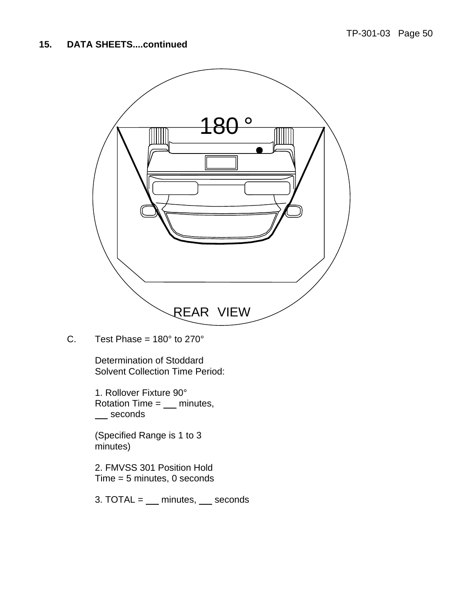

C. Test Phase =  $180^\circ$  to  $270^\circ$ 

 Determination of Stoddard Solvent Collection Time Period:

1. Rollover Fixture 90° Rotation Time  $=$   $\quad$  minutes, \_\_ seconds

(Specified Range is 1 to 3 minutes)

2. FMVSS 301 Position Hold Time = 5 minutes, 0 seconds

3. TOTAL =  $\text{minutes}, \text{secons}$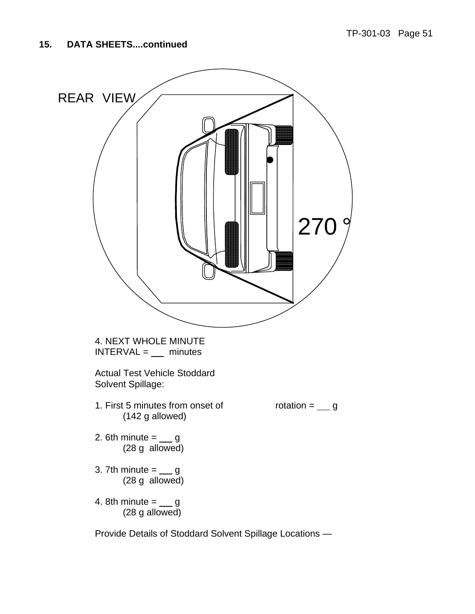

Provide Details of Stoddard Solvent Spillage Locations —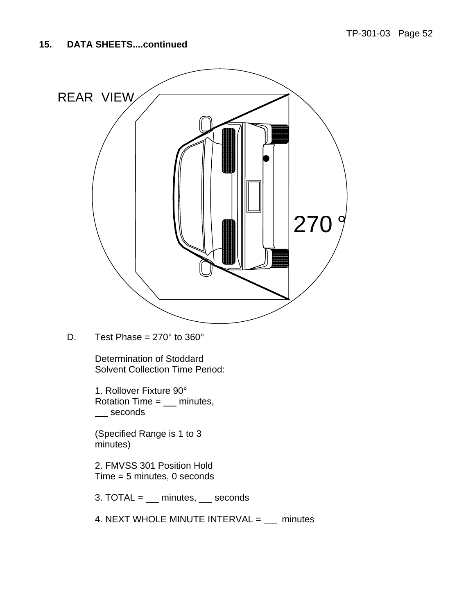

D. Test Phase =  $270^\circ$  to  $360^\circ$ 

 Determination of Stoddard Solvent Collection Time Period:

1. Rollover Fixture 90° Rotation Time  $=$   $\qquad$  minutes, \_\_ seconds

(Specified Range is 1 to 3 minutes)

2. FMVSS 301 Position Hold Time = 5 minutes, 0 seconds

 $3. TOTAL = \underline{\hspace{2cm}}$  minutes,  $\underline{\hspace{2cm}}$  seconds

4. NEXT WHOLE MINUTE INTERVAL =  $\text{minutes}$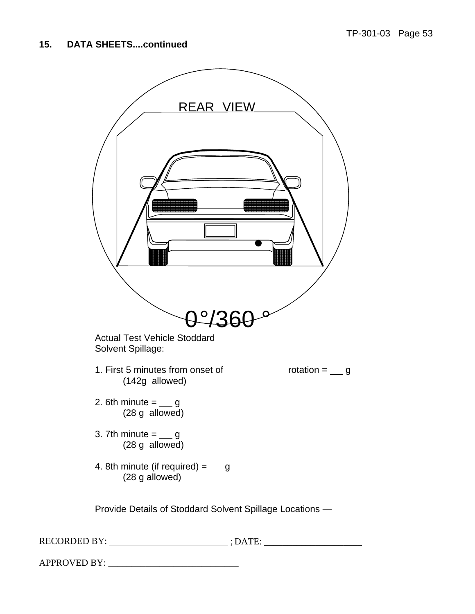| <b>REAR VIEW</b>                                                        |
|-------------------------------------------------------------------------|
| $0^{\circ}/36$                                                          |
| <b>Actual Test Vehicle Stoddard</b><br>Solvent Spillage:                |
| 1. First 5 minutes from onset of<br>rotation $=$ __ g<br>(142g allowed) |
| 2. 6th minute $=$ __ g<br>$(28 g$ allowed)                              |
| 3. 7th minute $=$ __ g<br>(28 g allowed)                                |
| 4. 8th minute (if required) = $\_\_$ g<br>(28 g allowed)                |
| Provide Details of Stoddard Solvent Spillage Locations -                |
|                                                                         |

APPROVED BY: \_\_\_\_\_\_\_\_\_\_\_\_\_\_\_\_\_\_\_\_\_\_\_\_\_\_\_\_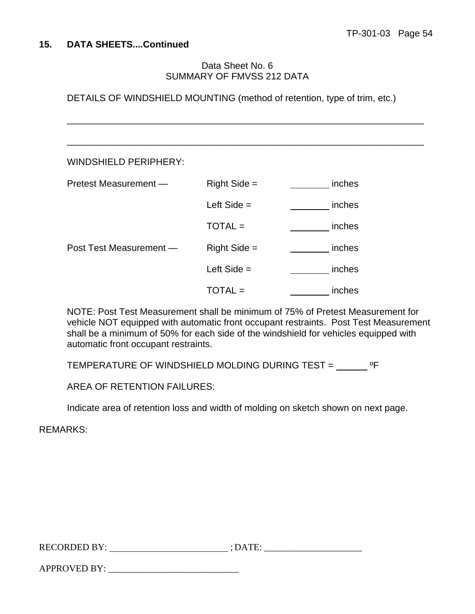### Data Sheet No. 6 SUMMARY OF FMVSS 212 DATA

DETAILS OF WINDSHIELD MOUNTING (method of retention, type of trim, etc.)

 $\overline{\phantom{a}}$  , and the contribution of the contribution of the contribution of the contribution of the contribution of the contribution of the contribution of the contribution of the contribution of the contribution of the

| <b>WINDSHIELD PERIPHERY:</b> |                |        |
|------------------------------|----------------|--------|
| Pretest Measurement -        | $Right Side =$ | inches |
|                              | Left Side $=$  | inches |
|                              | $TOTAL =$      | inches |
| Post Test Measurement -      | $Right Side =$ | inches |
|                              | Left Side $=$  | inches |
|                              | TOTAL =        | inches |

NOTE: Post Test Measurement shall be minimum of 75% of Pretest Measurement for vehicle NOT equipped with automatic front occupant restraints. Post Test Measurement shall be a minimum of 50% for each side of the windshield for vehicles equipped with automatic front occupant restraints.

TEMPERATURE OF WINDSHIELD MOLDING DURING TEST = \_\_\_\_\_\_ ºF

AREA OF RETENTION FAILURES:

Indicate area of retention loss and width of molding on sketch shown on next page.

REMARKS:

| <b>RECORDED BY:</b><br>. <u>.</u> |  |
|-----------------------------------|--|
|                                   |  |

APPROVED BY: \_\_\_\_\_\_\_\_\_\_\_\_\_\_\_\_\_\_\_\_\_\_\_\_\_\_\_\_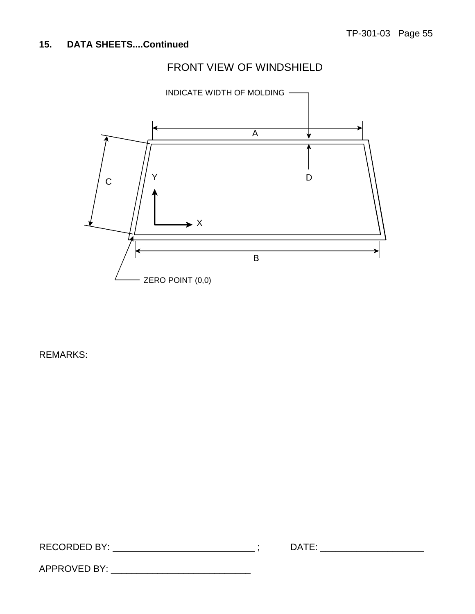# FRONT VIEW OF WINDSHIELD



REMARKS:

| REC <sub>1</sub><br>EN DV |  |  |
|---------------------------|--|--|
|                           |  |  |

APPROVED BY: \_\_\_\_\_\_\_\_\_\_\_\_\_\_\_\_\_\_\_\_\_\_\_\_\_\_\_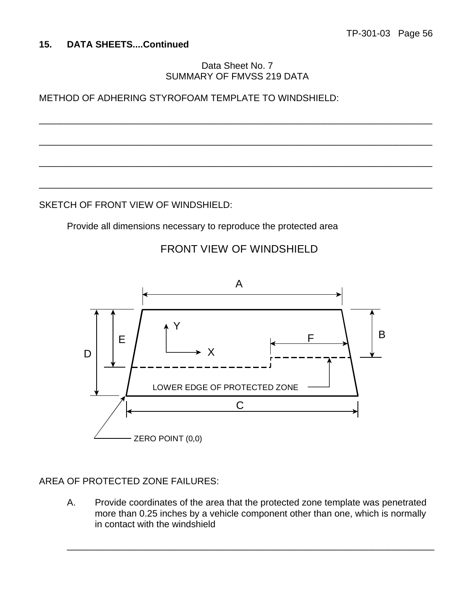Data Sheet No. 7 SUMMARY OF FMVSS 219 DATA

\_\_\_\_\_\_\_\_\_\_\_\_\_\_\_\_\_\_\_\_\_\_\_\_\_\_\_\_\_\_\_\_\_\_\_\_\_\_\_\_\_\_\_\_\_\_\_\_\_\_\_\_\_\_\_\_\_\_\_\_\_\_\_\_\_\_\_\_\_\_\_\_\_\_\_\_

\_\_\_\_\_\_\_\_\_\_\_\_\_\_\_\_\_\_\_\_\_\_\_\_\_\_\_\_\_\_\_\_\_\_\_\_\_\_\_\_\_\_\_\_\_\_\_\_\_\_\_\_\_\_\_\_\_\_\_\_\_\_\_\_\_\_\_\_\_\_\_\_\_\_\_\_

\_\_\_\_\_\_\_\_\_\_\_\_\_\_\_\_\_\_\_\_\_\_\_\_\_\_\_\_\_\_\_\_\_\_\_\_\_\_\_\_\_\_\_\_\_\_\_\_\_\_\_\_\_\_\_\_\_\_\_\_\_\_\_\_\_\_\_\_\_\_\_\_\_\_\_\_

\_\_\_\_\_\_\_\_\_\_\_\_\_\_\_\_\_\_\_\_\_\_\_\_\_\_\_\_\_\_\_\_\_\_\_\_\_\_\_\_\_\_\_\_\_\_\_\_\_\_\_\_\_\_\_\_\_\_\_\_\_\_\_\_\_\_\_\_\_\_\_\_\_\_\_\_

METHOD OF ADHERING STYROFOAM TEMPLATE TO WINDSHIELD:

SKETCH OF FRONT VIEW OF WINDSHIELD:

Provide all dimensions necessary to reproduce the protected area



# FRONT VIEW OF WINDSHIELD

# AREA OF PROTECTED ZONE FAILURES:

A. Provide coordinates of the area that the protected zone template was penetrated more than 0.25 inches by a vehicle component other than one, which is normally in contact with the windshield

\_\_\_\_\_\_\_\_\_\_\_\_\_\_\_\_\_\_\_\_\_\_\_\_\_\_\_\_\_\_\_\_\_\_\_\_\_\_\_\_\_\_\_\_\_\_\_\_\_\_\_\_\_\_\_\_\_\_\_\_\_\_\_\_\_\_\_\_\_\_\_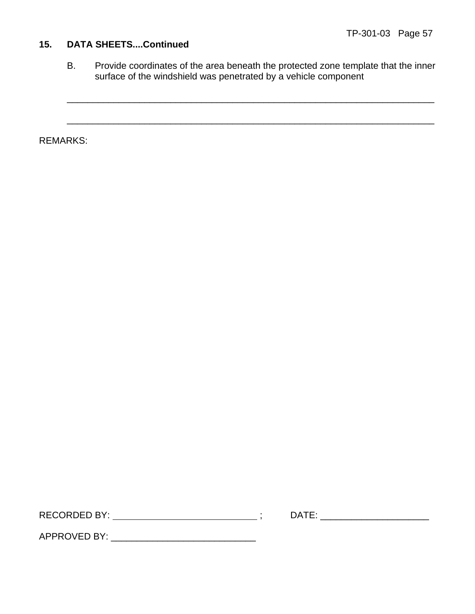B. Provide coordinates of the area beneath the protected zone template that the inner surface of the windshield was penetrated by a vehicle component

\_\_\_\_\_\_\_\_\_\_\_\_\_\_\_\_\_\_\_\_\_\_\_\_\_\_\_\_\_\_\_\_\_\_\_\_\_\_\_\_\_\_\_\_\_\_\_\_\_\_\_\_\_\_\_\_\_\_\_\_\_\_\_\_\_\_\_\_\_\_\_

\_\_\_\_\_\_\_\_\_\_\_\_\_\_\_\_\_\_\_\_\_\_\_\_\_\_\_\_\_\_\_\_\_\_\_\_\_\_\_\_\_\_\_\_\_\_\_\_\_\_\_\_\_\_\_\_\_\_\_\_\_\_\_\_\_\_\_\_\_\_\_

REMARKS:

RECORDED BY: ; DATE: \_\_\_\_\_\_\_\_\_\_\_\_\_\_\_\_\_\_\_\_\_

APPROVED BY: \_\_\_\_\_\_\_\_\_\_\_\_\_\_\_\_\_\_\_\_\_\_\_\_\_\_\_\_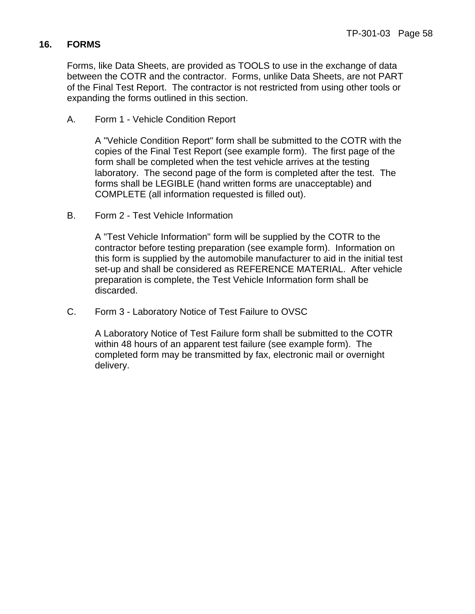## **16. FORMS**

Forms, like Data Sheets, are provided as TOOLS to use in the exchange of data between the COTR and the contractor. Forms, unlike Data Sheets, are not PART of the Final Test Report. The contractor is not restricted from using other tools or expanding the forms outlined in this section.

A. Form 1 - Vehicle Condition Report

 A "Vehicle Condition Report" form shall be submitted to the COTR with the copies of the Final Test Report (see example form). The first page of the form shall be completed when the test vehicle arrives at the testing laboratory. The second page of the form is completed after the test. The forms shall be LEGIBLE (hand written forms are unacceptable) and COMPLETE (all information requested is filled out).

B. Form 2 - Test Vehicle Information

A "Test Vehicle Information" form will be supplied by the COTR to the contractor before testing preparation (see example form). Information on this form is supplied by the automobile manufacturer to aid in the initial test set-up and shall be considered as REFERENCE MATERIAL. After vehicle preparation is complete, the Test Vehicle Information form shall be discarded.

C. Form 3 - Laboratory Notice of Test Failure to OVSC

A Laboratory Notice of Test Failure form shall be submitted to the COTR within 48 hours of an apparent test failure (see example form). The completed form may be transmitted by fax, electronic mail or overnight delivery.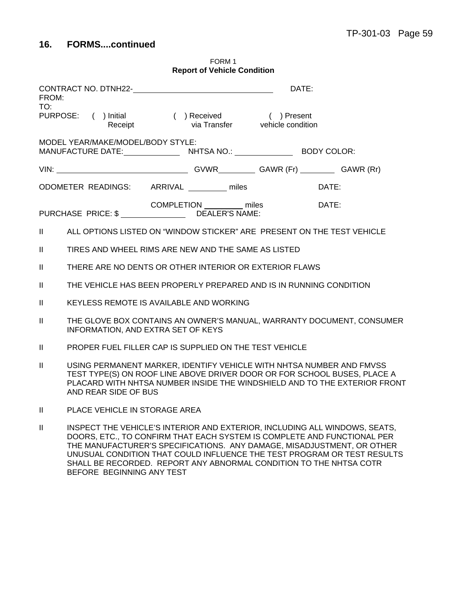| <b>Report of Vehicle Condition</b>                                                                                                                                                                                                                                    |       |
|-----------------------------------------------------------------------------------------------------------------------------------------------------------------------------------------------------------------------------------------------------------------------|-------|
| CONTRACT NO. DTNH22-<br>DATE:<br>FROM:                                                                                                                                                                                                                                |       |
| TO:<br>PURPOSE: ( ) Initial ( ) Received ( ) Present<br>Receipt via Transfer vehicle condition                                                                                                                                                                        |       |
| MODEL YEAR/MAKE/MODEL/BODY STYLE:                                                                                                                                                                                                                                     |       |
|                                                                                                                                                                                                                                                                       |       |
| ODOMETER READINGS: ARRIVAL ________ miles                                                                                                                                                                                                                             | DATE: |
| COMPLETION miles<br>PURCHASE PRICE: \$ DEALER'S NAME:                                                                                                                                                                                                                 | DATE: |
| ALL OPTIONS LISTED ON "WINDOW STICKER" ARE PRESENT ON THE TEST VEHICLE<br>$\mathbf{H}$                                                                                                                                                                                |       |
| $\mathbf{H}$<br>TIRES AND WHEEL RIMS ARE NEW AND THE SAME AS LISTED                                                                                                                                                                                                   |       |
| $\mathbf{II}$<br>THERE ARE NO DENTS OR OTHER INTERIOR OR EXTERIOR FLAWS                                                                                                                                                                                               |       |
| THE VEHICLE HAS BEEN PROPERLY PREPARED AND IS IN RUNNING CONDITION<br>$\mathbf{II}$                                                                                                                                                                                   |       |
| $\mathbf{H}$<br>KEYLESS REMOTE IS AVAILABLE AND WORKING                                                                                                                                                                                                               |       |
| THE GLOVE BOX CONTAINS AN OWNER'S MANUAL, WARRANTY DOCUMENT, CONSUMER<br>$\mathbf{I}$<br>INFORMATION, AND EXTRA SET OF KEYS                                                                                                                                           |       |
| $\mathbf{II}$<br>PROPER FUEL FILLER CAP IS SUPPLIED ON THE TEST VEHICLE                                                                                                                                                                                               |       |
| $\mathbf{I}$<br>USING PERMANENT MARKER, IDENTIFY VEHICLE WITH NHTSA NUMBER AND FMVSS<br>TEST TYPE(S) ON ROOF LINE ABOVE DRIVER DOOR OR FOR SCHOOL BUSES, PLACE A<br>PLACARD WITH NHTSA NUMBER INSIDE THE WINDSHIELD AND TO THE EXTERIOR FRONT<br>AND REAR SIDE OF BUS |       |
| $\mathbf{H}$<br>PLACE VEHICLE IN STORAGE AREA                                                                                                                                                                                                                         |       |
| $\mathbf{II}$<br>INSPECT THE VEHICLE'S INTERIOR AND EXTERIOR, INCLUDING ALL WINDOWS, SEATS,<br>DOORS, ETC., TO CONFIRM THAT EACH SYSTEM IS COMPLETE AND FUNCTIONAL PER                                                                                                |       |

FORM 1

THE MANUFACTURER'S SPECIFICATIONS. ANY DAMAGE, MISADJUSTMENT, OR OTHER UNUSUAL CONDITION THAT COULD INFLUENCE THE TEST PROGRAM OR TEST RESULTS SHALL BE RECORDED. REPORT ANY ABNORMAL CONDITION TO THE NHTSA COTR BEFORE BEGINNING ANY TEST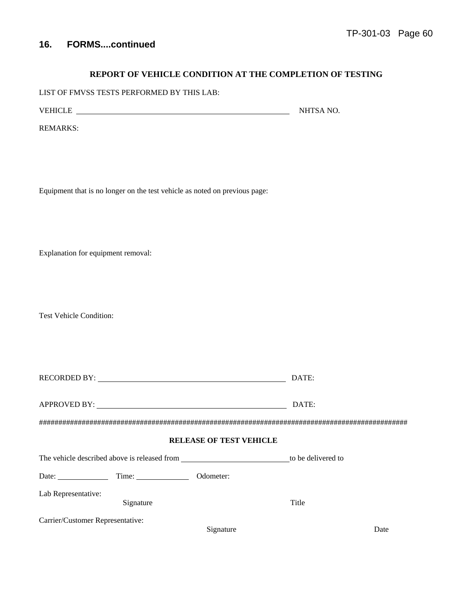#### **REPORT OF VEHICLE CONDITION AT THE COMPLETION OF TESTING**

LIST OF FMVSS TESTS PERFORMED BY THIS LAB:

VEHICLE NHTSA NO.

REMARKS:

Equipment that is no longer on the test vehicle as noted on previous page:

Explanation for equipment removal:

Test Vehicle Condition:

| RECORDED BY: North Contract Contract Contract Contract Contract Contract Contract Contract Contract Contract Contract Contract Contract Contract Contract Contract Contract Contract Contract Contract Contract Contract Contr | DATE:              |
|--------------------------------------------------------------------------------------------------------------------------------------------------------------------------------------------------------------------------------|--------------------|
| APPROVED BY:                                                                                                                                                                                                                   | DATE:              |
|                                                                                                                                                                                                                                |                    |
| <b>RELEASE OF TEST VEHICLE</b>                                                                                                                                                                                                 |                    |
| The vehicle decembed eberra is released from                                                                                                                                                                                   | to ha delivered to |

| The vehicle described above is released from |           |           | to be delivered to |      |
|----------------------------------------------|-----------|-----------|--------------------|------|
| Date:                                        | Time:     | Odometer: |                    |      |
| Lab Representative:                          | Signature |           | Title              |      |
| Carrier/Customer Representative:             |           |           |                    |      |
|                                              |           | Signature |                    | Date |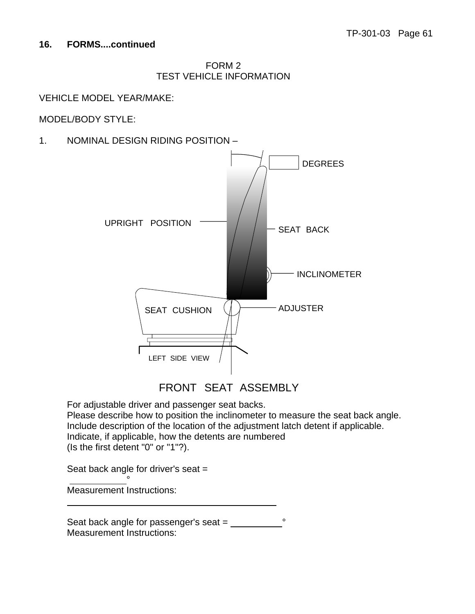### FORM 2 TEST VEHICLE INFORMATION

### VEHICLE MODEL YEAR/MAKE:

### MODEL/BODY STYLE:

1. NOMINAL DESIGN RIDING POSITION –



FRONT SEAT ASSEMBLY

For adjustable driver and passenger seat backs. Please describe how to position the inclinometer to measure the seat back angle. Include description of the location of the adjustment latch detent if applicable. Indicate, if applicable, how the detents are numbered (Is the first detent "0" or "1"?).

Seat back angle for driver's seat =

Measurement Instructions:

<u>●</u>

 $\overline{a}$ 

Seat back angle for passenger's seat =  $\frac{1}{2}$ Measurement Instructions: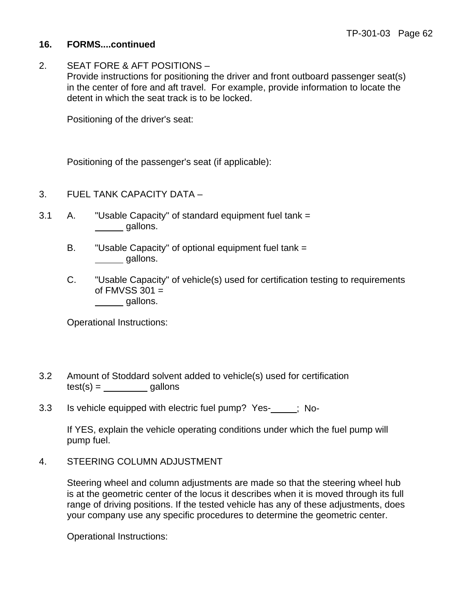2. SEAT FORE & AFT POSITIONS – Provide instructions for positioning the driver and front outboard passenger seat(s) in the center of fore and aft travel. For example, provide information to locate the detent in which the seat track is to be locked.

Positioning of the driver's seat:

Positioning of the passenger's seat (if applicable):

- 3. FUEL TANK CAPACITY DATA –
- 3.1 A. "Usable Capacity" of standard equipment fuel tank = gallons.
	- B. "Usable Capacity" of optional equipment fuel tank = gallons.
	- C. "Usable Capacity" of vehicle(s) used for certification testing to requirements of  $FMVSS 301 =$ *\_\_\_\_\_\_* gallons.

Operational Instructions:

- 3.2 Amount of Stoddard solvent added to vehicle(s) used for certification  $test(s) = \_\_\_\_\_\_$ gallons
- 3.3 Is vehicle equipped with electric fuel pump? Yes-<br>
<sub>[3.3]</sub> Is vehicle equipped with electric fuel pump? Yes-

If YES, explain the vehicle operating conditions under which the fuel pump will pump fuel.

4. STEERING COLUMN ADJUSTMENT

Steering wheel and column adjustments are made so that the steering wheel hub is at the geometric center of the locus it describes when it is moved through its full range of driving positions. If the tested vehicle has any of these adjustments, does your company use any specific procedures to determine the geometric center.

Operational Instructions: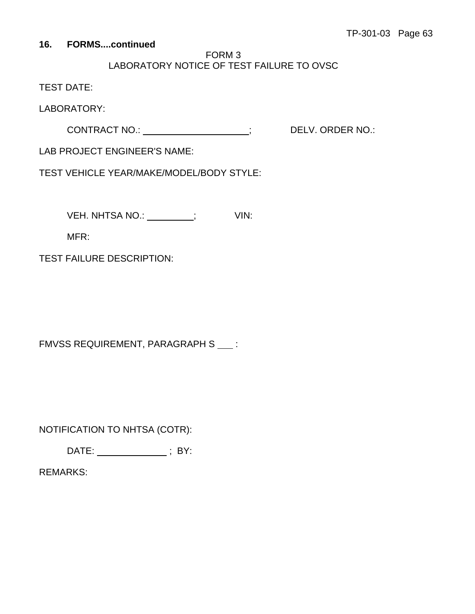# FORM 3 LABORATORY NOTICE OF TEST FAILURE TO OVSC

TEST DATE:

LABORATORY:

CONTRACT NO.: \_\_\_\_\_\_\_\_\_\_\_\_\_\_\_\_\_\_\_\_\_\_\_\_; DELV. ORDER NO.:

LAB PROJECT ENGINEER'S NAME:

TEST VEHICLE YEAR/MAKE/MODEL/BODY STYLE:

VEH. NHTSA NO.: \_\_\_\_\_\_\_\_\_; VIN:

MFR:

TEST FAILURE DESCRIPTION:

FMVSS REQUIREMENT, PARAGRAPH S ::

NOTIFICATION TO NHTSA (COTR):

DATE: \_\_\_\_\_\_\_\_\_\_\_\_\_\_\_\_; BY:

REMARKS: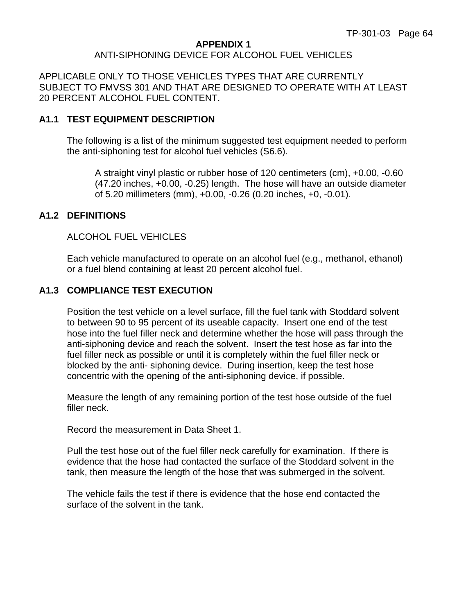#### **APPENDIX 1**

#### ANTI-SIPHONING DEVICE FOR ALCOHOL FUEL VEHICLES

APPLICABLE ONLY TO THOSE VEHICLES TYPES THAT ARE CURRENTLY SUBJECT TO FMVSS 301 AND THAT ARE DESIGNED TO OPERATE WITH AT LEAST 20 PERCENT ALCOHOL FUEL CONTENT.

### **A1.1 TEST EQUIPMENT DESCRIPTION**

The following is a list of the minimum suggested test equipment needed to perform the anti-siphoning test for alcohol fuel vehicles (S6.6).

 A straight vinyl plastic or rubber hose of 120 centimeters (cm), +0.00, -0.60 (47.20 inches, +0.00, -0.25) length. The hose will have an outside diameter of 5.20 millimeters (mm), +0.00, -0.26 (0.20 inches, +0, -0.01).

### **A1.2 DEFINITIONS**

### ALCOHOL FUEL VEHICLES

Each vehicle manufactured to operate on an alcohol fuel (e.g., methanol, ethanol) or a fuel blend containing at least 20 percent alcohol fuel.

### **A1.3 COMPLIANCE TEST EXECUTION**

Position the test vehicle on a level surface, fill the fuel tank with Stoddard solvent to between 90 to 95 percent of its useable capacity. Insert one end of the test hose into the fuel filler neck and determine whether the hose will pass through the anti-siphoning device and reach the solvent. Insert the test hose as far into the fuel filler neck as possible or until it is completely within the fuel filler neck or blocked by the anti- siphoning device. During insertion, keep the test hose concentric with the opening of the anti-siphoning device, if possible.

Measure the length of any remaining portion of the test hose outside of the fuel filler neck.

Record the measurement in Data Sheet 1.

Pull the test hose out of the fuel filler neck carefully for examination. If there is evidence that the hose had contacted the surface of the Stoddard solvent in the tank, then measure the length of the hose that was submerged in the solvent.

The vehicle fails the test if there is evidence that the hose end contacted the surface of the solvent in the tank.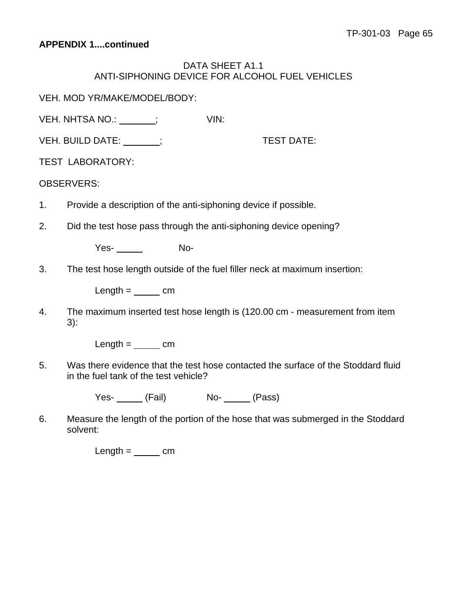### DATA SHEET A1.1 ANTI-SIPHONING DEVICE FOR ALCOHOL FUEL VEHICLES

VEH. MOD YR/MAKE/MODEL/BODY:

VEH. NHTSA NO.:  $\qquad$  ;  $\qquad$  VIN:

VEH. BUILD DATE: ; TEST DATE:

TEST LABORATORY:

### OBSERVERS:

- 1. Provide a description of the anti-siphoning device if possible.
- 2. Did the test hose pass through the anti-siphoning device opening?

Yes- No-

3. The test hose length outside of the fuel filler neck at maximum insertion:

 $Length =$   $cm$ 

4. The maximum inserted test hose length is (120.00 cm - measurement from item 3):

 $Length =$   $cm$ 

5. Was there evidence that the test hose contacted the surface of the Stoddard fluid in the fuel tank of the test vehicle?

Yes- (Fail) No- (Pass)

6. Measure the length of the portion of the hose that was submerged in the Stoddard solvent:

 $Length =$   $cm$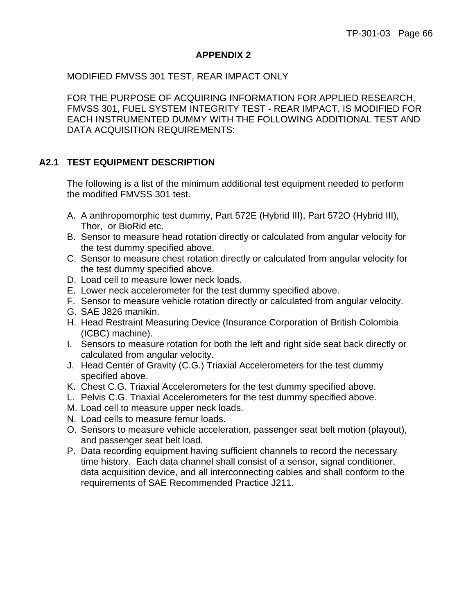### **APPENDIX 2**

MODIFIED FMVSS 301 TEST, REAR IMPACT ONLY

FOR THE PURPOSE OF ACQUIRING INFORMATION FOR APPLIED RESEARCH, FMVSS 301, FUEL SYSTEM INTEGRITY TEST - REAR IMPACT, IS MODIFIED FOR EACH INSTRUMENTED DUMMY WITH THE FOLLOWING ADDITIONAL TEST AND DATA ACQUISITION REQUIREMENTS:

# **A2.1 TEST EQUIPMENT DESCRIPTION**

The following is a list of the minimum additional test equipment needed to perform the modified FMVSS 301 test.

- A. A anthropomorphic test dummy, Part 572E (Hybrid III), Part 572O (Hybrid III), Thor, or BioRid etc.
- B. Sensor to measure head rotation directly or calculated from angular velocity for the test dummy specified above.
- C. Sensor to measure chest rotation directly or calculated from angular velocity for the test dummy specified above.
- D. Load cell to measure lower neck loads.
- E. Lower neck accelerometer for the test dummy specified above.
- F. Sensor to measure vehicle rotation directly or calculated from angular velocity.
- G. SAE J826 manikin.
- H. Head Restraint Measuring Device (Insurance Corporation of British Colombia (ICBC) machine).
- I. Sensors to measure rotation for both the left and right side seat back directly or calculated from angular velocity.
- J. Head Center of Gravity (C.G.) Triaxial Accelerometers for the test dummy specified above.
- K. Chest C.G. Triaxial Accelerometers for the test dummy specified above.
- L. Pelvis C.G. Triaxial Accelerometers for the test dummy specified above.
- M. Load cell to measure upper neck loads.
- N. Load cells to measure femur loads.
- O. Sensors to measure vehicle acceleration, passenger seat belt motion (playout), and passenger seat belt load.
- P. Data recording equipment having sufficient channels to record the necessary time history. Each data channel shall consist of a sensor, signal conditioner, data acquisition device, and all interconnecting cables and shall conform to the requirements of SAE Recommended Practice J211.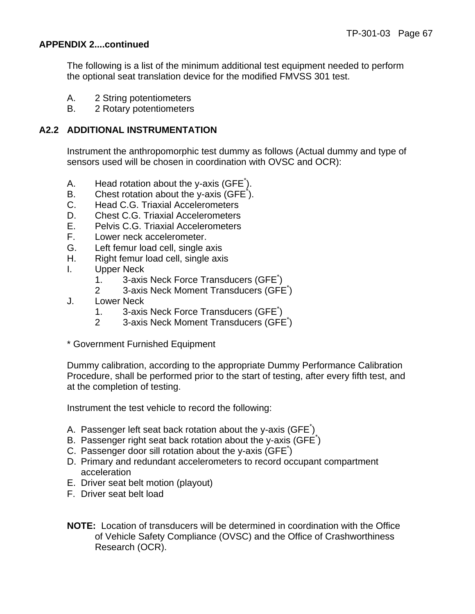### **APPENDIX 2....continued**

The following is a list of the minimum additional test equipment needed to perform the optional seat translation device for the modified FMVSS 301 test.

- A. 2 String potentiometers
- B. 2 Rotary potentiometers

### **A2.2 ADDITIONAL INSTRUMENTATION**

 Instrument the anthropomorphic test dummy as follows (Actual dummy and type of sensors used will be chosen in coordination with OVSC and OCR):

- A. Head rotation about the y-axis (GFE<sup>\*</sup>).
- B. Chest rotation about the y-axis  $(GFE^*)$ .
- C. Head C.G. Triaxial Accelerometers
- D. Chest C.G. Triaxial Accelerometers
- E. Pelvis C.G. Triaxial Accelerometers
- F. Lower neck accelerometer.
- G. Left femur load cell, single axis
- H. Right femur load cell, single axis
- I. Upper Neck
- 1. 3-axis Neck Force Transducers (GFE<sup>\*</sup>)
- 2 3-axis Neck Moment Transducers (GFE<sup>\*</sup>)
	- J. Lower Neck
- 1. 3-axis Neck Force Transducers (GFE<sup>\*</sup>)
- 2 3-axis Neck Moment Transducers (GFE<sup>\*</sup>)
	- \* Government Furnished Equipment

Dummy calibration, according to the appropriate Dummy Performance Calibration Procedure, shall be performed prior to the start of testing, after every fifth test, and at the completion of testing.

Instrument the test vehicle to record the following:

- A. Passenger left seat back rotation about the y-axis (GFE $\check{ }$ )
- B. Passenger right seat back rotation about the y-axis (GFE<sup>\*</sup>)
- C. Passenger door sill rotation about the y-axis (GFE\* )
- D. Primary and redundant accelerometers to record occupant compartment acceleration
- E. Driver seat belt motion (playout)
- F. Driver seat belt load
- **NOTE:** Location of transducers will be determined in coordination with the Office of Vehicle Safety Compliance (OVSC) and the Office of Crashworthiness Research (OCR).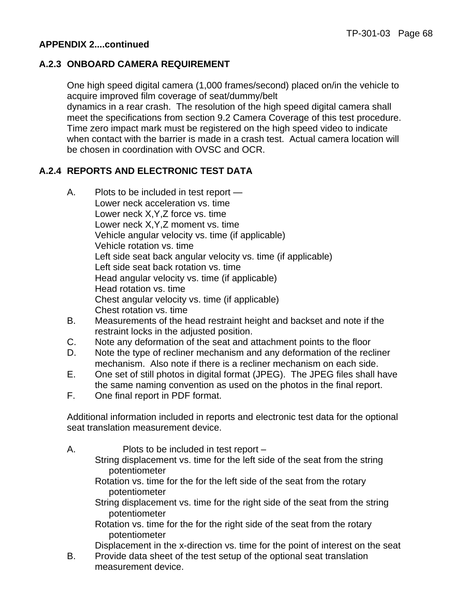### **APPENDIX 2....continued**

### **A.2.3 ONBOARD CAMERA REQUIREMENT**

One high speed digital camera (1,000 frames/second) placed on/in the vehicle to acquire improved film coverage of seat/dummy/belt dynamics in a rear crash. The resolution of the high speed digital camera shall meet the specifications from section 9.2 Camera Coverage of this test procedure. Time zero impact mark must be registered on the high speed video to indicate when contact with the barrier is made in a crash test. Actual camera location will be chosen in coordination with OVSC and OCR.

# **A.2.4 REPORTS AND ELECTRONIC TEST DATA**

- A. Plots to be included in test report Lower neck acceleration vs. time Lower neck X,Y,Z force vs. time Lower neck X,Y,Z moment vs. time Vehicle angular velocity vs. time (if applicable) Vehicle rotation vs. time Left side seat back angular velocity vs. time (if applicable) Left side seat back rotation vs. time Head angular velocity vs. time (if applicable) Head rotation vs. time Chest angular velocity vs. time (if applicable) Chest rotation vs. time
- B. Measurements of the head restraint height and backset and note if the restraint locks in the adjusted position.
- C. Note any deformation of the seat and attachment points to the floor
- D. Note the type of recliner mechanism and any deformation of the recliner mechanism. Also note if there is a recliner mechanism on each side.
- E. One set of still photos in digital format (JPEG). The JPEG files shall have the same naming convention as used on the photos in the final report.
- F. One final report in PDF format.

Additional information included in reports and electronic test data for the optional seat translation measurement device.

| Α. | Plots to be included in test report -                                                        |
|----|----------------------------------------------------------------------------------------------|
|    | String displacement vs. time for the left side of the seat from the string<br>potentiometer  |
|    | Rotation vs. time for the for the left side of the seat from the rotary<br>potentiometer     |
|    | String displacement vs. time for the right side of the seat from the string<br>potentiometer |
|    | Rotation vs. time for the for the right side of the seat from the rotary<br>potentiometer    |

Displacement in the x-direction vs. time for the point of interest on the seat

B. Provide data sheet of the test setup of the optional seat translation measurement device.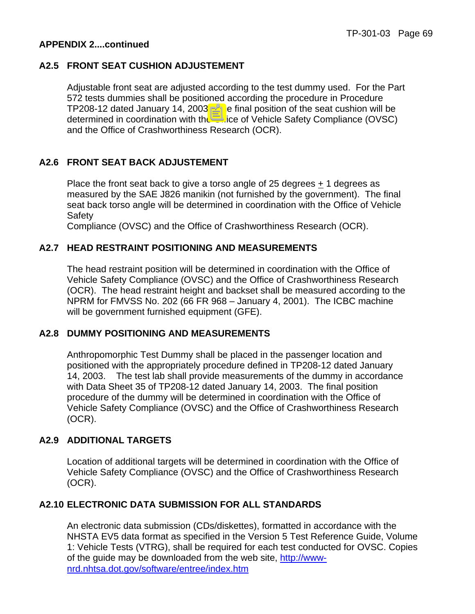### **APPENDIX 2....continued**

### **A2.5 FRONT SEAT CUSHION ADJUSTEMENT**

 Adjustable front seat are adjusted according to the test dummy used. For the Part 572 tests dummies shall be positioned according the procedure in Procedure TP208-12 dated January 14, 2003. The final position of the seat cushion will be determined in coordination with the Office of Vehicle Safety Compliance (OVSC) and the Office of Crashworthiness Research (OCR).

### **A2.6 FRONT SEAT BACK ADJUSTEMENT**

Place the front seat back to give a torso angle of 25 degrees  $+ 1$  degrees as measured by the SAE J826 manikin (not furnished by the government). The final seat back torso angle will be determined in coordination with the Office of Vehicle **Safety** 

Compliance (OVSC) and the Office of Crashworthiness Research (OCR).

### **A2.7 HEAD RESTRAINT POSITIONING AND MEASUREMENTS**

 The head restraint position will be determined in coordination with the Office of Vehicle Safety Compliance (OVSC) and the Office of Crashworthiness Research (OCR). The head restraint height and backset shall be measured according to the NPRM for FMVSS No. 202 (66 FR 968 – January 4, 2001). The ICBC machine will be government furnished equipment (GFE).

### **A2.8 DUMMY POSITIONING AND MEASUREMENTS**

Anthropomorphic Test Dummy shall be placed in the passenger location and positioned with the appropriately procedure defined in TP208-12 dated January 14, 2003. The test lab shall provide measurements of the dummy in accordance with Data Sheet 35 of TP208-12 dated January 14, 2003. The final position procedure of the dummy will be determined in coordination with the Office of Vehicle Safety Compliance (OVSC) and the Office of Crashworthiness Research (OCR).

### **A2.9 ADDITIONAL TARGETS**

Location of additional targets will be determined in coordination with the Office of Vehicle Safety Compliance (OVSC) and the Office of Crashworthiness Research (OCR).

### **A2.10 ELECTRONIC DATA SUBMISSION FOR ALL STANDARDS**

An electronic data submission (CDs/diskettes), formatted in accordance with the NHSTA EV5 data format as specified in the Version 5 Test Reference Guide, Volume 1: Vehicle Tests (VTRG), shall be required for each test conducted for OVSC. Copies of the guide may be downloaded from the web site, [http://www](http://www-nrd.nhtsa.dot.gov/software/entree/index.htm)[nrd.nhtsa.dot.gov/software/entree/index.htm](http://www-nrd.nhtsa.dot.gov/software/entree/index.htm)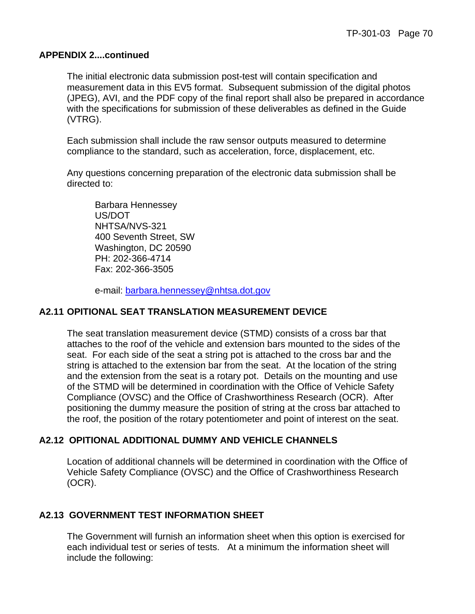#### **APPENDIX 2....continued**

The initial electronic data submission post-test will contain specification and measurement data in this EV5 format. Subsequent submission of the digital photos (JPEG), AVI, and the PDF copy of the final report shall also be prepared in accordance with the specifications for submission of these deliverables as defined in the Guide (VTRG).

Each submission shall include the raw sensor outputs measured to determine compliance to the standard, such as acceleration, force, displacement, etc.

Any questions concerning preparation of the electronic data submission shall be directed to:

 Barbara Hennessey US/DOT NHTSA/NVS-321 400 Seventh Street, SW Washington, DC 20590 PH: 202-366-4714 Fax: 202-366-3505

e-mail: [barbara.hennessey@nhtsa.dot.gov](mailto:barbara.hennessey@nhtsa.dot.gov)

#### **A2.11 OPITIONAL SEAT TRANSLATION MEASUREMENT DEVICE**

The seat translation measurement device (STMD) consists of a cross bar that attaches to the roof of the vehicle and extension bars mounted to the sides of the seat. For each side of the seat a string pot is attached to the cross bar and the string is attached to the extension bar from the seat. At the location of the string and the extension from the seat is a rotary pot. Details on the mounting and use of the STMD will be determined in coordination with the Office of Vehicle Safety Compliance (OVSC) and the Office of Crashworthiness Research (OCR). After positioning the dummy measure the position of string at the cross bar attached to the roof, the position of the rotary potentiometer and point of interest on the seat.

## **A2.12 OPITIONAL ADDITIONAL DUMMY AND VEHICLE CHANNELS**

Location of additional channels will be determined in coordination with the Office of Vehicle Safety Compliance (OVSC) and the Office of Crashworthiness Research (OCR).

## **A2.13 GOVERNMENT TEST INFORMATION SHEET**

The Government will furnish an information sheet when this option is exercised for each individual test or series of tests. At a minimum the information sheet will include the following: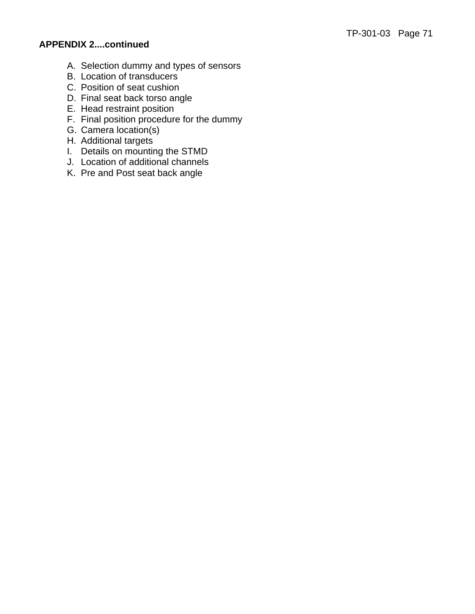# **APPENDIX 2....continued**

- A. Selection dummy and types of sensors
- B. Location of transducers
- C. Position of seat cushion
- D. Final seat back torso angle
- E. Head restraint position
- F. Final position procedure for the dummy
- G. Camera location(s)
- H. Additional targets
- I. Details on mounting the STMD
- J. Location of additional channels
- K. Pre and Post seat back angle